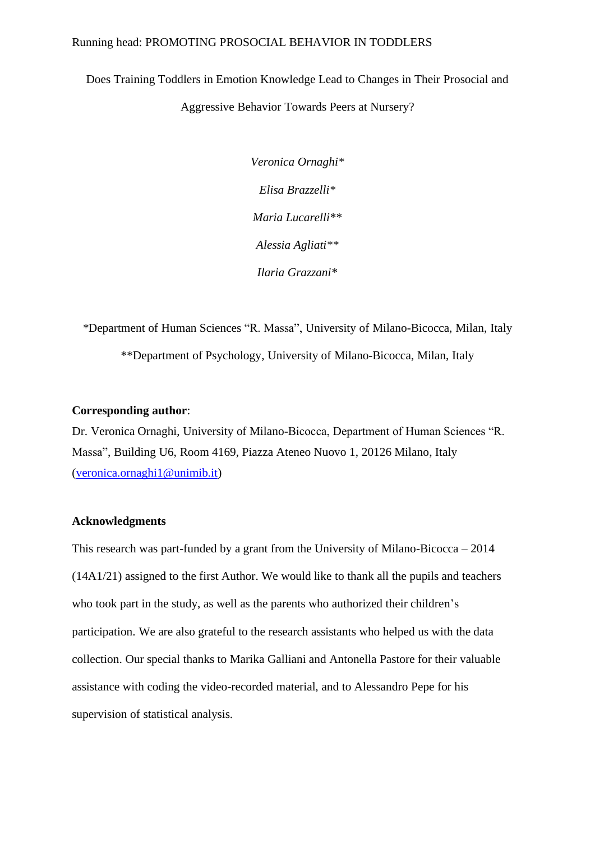## Running head: PROMOTING PROSOCIAL BEHAVIOR IN TODDLERS

Does Training Toddlers in Emotion Knowledge Lead to Changes in Their Prosocial and Aggressive Behavior Towards Peers at Nursery?

> *Veronica Ornaghi\* Elisa Brazzelli\* Maria Lucarelli\*\* Alessia Agliati\*\* Ilaria Grazzani\**

*\**Department of Human Sciences "R. Massa", University of Milano-Bicocca, Milan, Italy \*\*Department of Psychology, University of Milano-Bicocca, Milan, Italy

## **Corresponding author**:

Dr. Veronica Ornaghi, University of Milano-Bicocca, Department of Human Sciences "R. Massa", Building U6, Room 4169, Piazza Ateneo Nuovo 1, 20126 Milano, Italy [\(veronica.ornaghi1@unimib.it\)](mailto:veronica.ornaghi1@unimib.it)

## **Acknowledgments**

This research was part-funded by a grant from the University of Milano-Bicocca – 2014 (14A1/21) assigned to the first Author. We would like to thank all the pupils and teachers who took part in the study, as well as the parents who authorized their children's participation. We are also grateful to the research assistants who helped us with the data collection. Our special thanks to Marika Galliani and Antonella Pastore for their valuable assistance with coding the video-recorded material, and to Alessandro Pepe for his supervision of statistical analysis.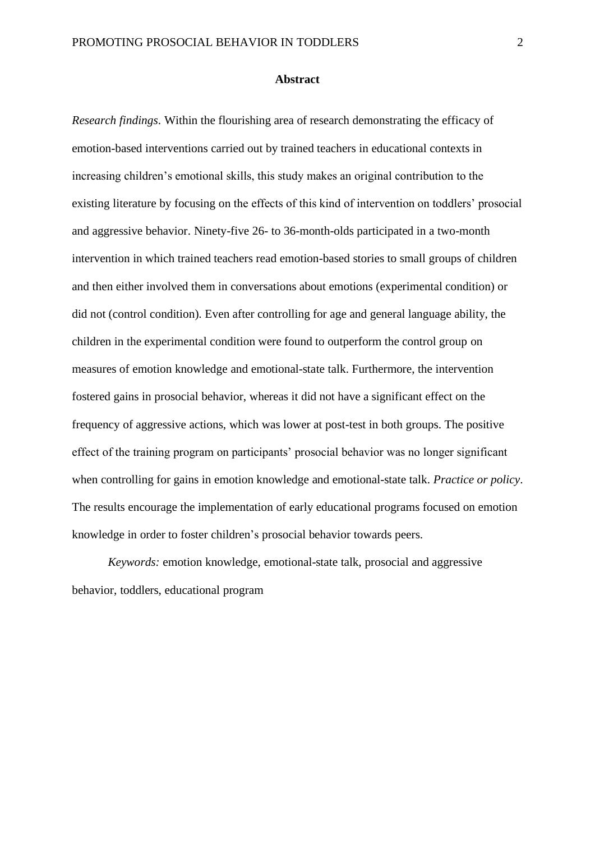### **Abstract**

*Research findings*. Within the flourishing area of research demonstrating the efficacy of emotion-based interventions carried out by trained teachers in educational contexts in increasing children's emotional skills, this study makes an original contribution to the existing literature by focusing on the effects of this kind of intervention on toddlers' prosocial and aggressive behavior. Ninety-five 26- to 36-month-olds participated in a two-month intervention in which trained teachers read emotion-based stories to small groups of children and then either involved them in conversations about emotions (experimental condition) or did not (control condition). Even after controlling for age and general language ability, the children in the experimental condition were found to outperform the control group on measures of emotion knowledge and emotional-state talk. Furthermore, the intervention fostered gains in prosocial behavior, whereas it did not have a significant effect on the frequency of aggressive actions, which was lower at post-test in both groups. The positive effect of the training program on participants' prosocial behavior was no longer significant when controlling for gains in emotion knowledge and emotional-state talk. *Practice or policy*. The results encourage the implementation of early educational programs focused on emotion knowledge in order to foster children's prosocial behavior towards peers.

*Keywords:* emotion knowledge, emotional-state talk, prosocial and aggressive behavior, toddlers, educational program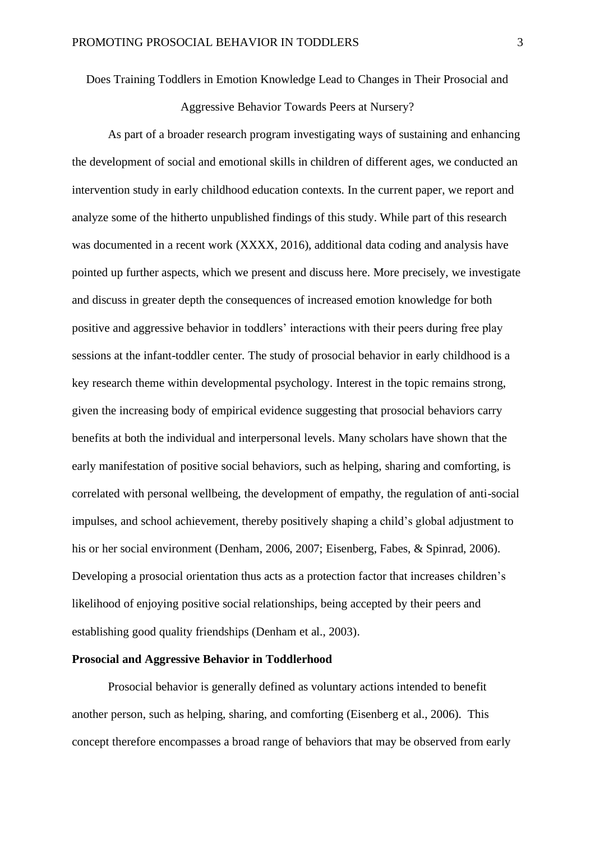Does Training Toddlers in Emotion Knowledge Lead to Changes in Their Prosocial and

Aggressive Behavior Towards Peers at Nursery?

As part of a broader research program investigating ways of sustaining and enhancing the development of social and emotional skills in children of different ages, we conducted an intervention study in early childhood education contexts. In the current paper, we report and analyze some of the hitherto unpublished findings of this study. While part of this research was documented in a recent work (XXXX, 2016), additional data coding and analysis have pointed up further aspects, which we present and discuss here. More precisely, we investigate and discuss in greater depth the consequences of increased emotion knowledge for both positive and aggressive behavior in toddlers' interactions with their peers during free play sessions at the infant-toddler center. The study of prosocial behavior in early childhood is a key research theme within developmental psychology. Interest in the topic remains strong, given the increasing body of empirical evidence suggesting that prosocial behaviors carry benefits at both the individual and interpersonal levels. Many scholars have shown that the early manifestation of positive social behaviors, such as helping, sharing and comforting, is correlated with personal wellbeing, the development of empathy, the regulation of anti-social impulses, and school achievement, thereby positively shaping a child's global adjustment to his or her social environment (Denham, 2006, 2007; Eisenberg, Fabes, & Spinrad, 2006). Developing a prosocial orientation thus acts as a protection factor that increases children's likelihood of enjoying positive social relationships, being accepted by their peers and establishing good quality friendships (Denham et al., 2003).

## **Prosocial and Aggressive Behavior in Toddlerhood**

Prosocial behavior is generally defined as voluntary actions intended to benefit another person, such as helping, sharing, and comforting (Eisenberg et al., 2006). This concept therefore encompasses a broad range of behaviors that may be observed from early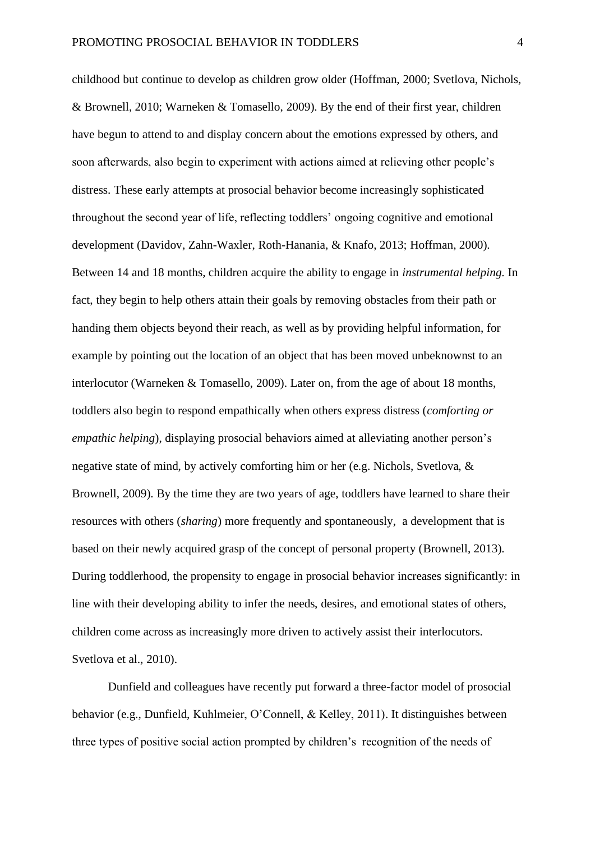childhood but continue to develop as children grow older (Hoffman, 2000; Svetlova, Nichols, & Brownell, 2010; Warneken & Tomasello, 2009). By the end of their first year, children have begun to attend to and display concern about the emotions expressed by others, and soon afterwards, also begin to experiment with actions aimed at relieving other people's distress. These early attempts at prosocial behavior become increasingly sophisticated throughout the second year of life, reflecting toddlers' ongoing cognitive and emotional development (Davidov, Zahn-Waxler, Roth-Hanania, & Knafo, 2013; Hoffman, 2000). Between 14 and 18 months, children acquire the ability to engage in *instrumental helping.* In fact, they begin to help others attain their goals by removing obstacles from their path or handing them objects beyond their reach, as well as by providing helpful information, for example by pointing out the location of an object that has been moved unbeknownst to an interlocutor (Warneken & Tomasello, 2009). Later on, from the age of about 18 months, toddlers also begin to respond empathically when others express distress (*comforting or empathic helping*), displaying prosocial behaviors aimed at alleviating another person's negative state of mind, by actively comforting him or her (e.g. Nichols, Svetlova, & Brownell, 2009). By the time they are two years of age, toddlers have learned to share their resources with others (*sharing*) more frequently and spontaneously, a development that is based on their newly acquired grasp of the concept of personal property (Brownell, 2013). During toddlerhood, the propensity to engage in prosocial behavior increases significantly: in line with their developing ability to infer the needs, desires, and emotional states of others, children come across as increasingly more driven to actively assist their interlocutors. Svetlova et al., 2010).

Dunfield and colleagues have recently put forward a three-factor model of prosocial behavior (e.g., Dunfield, Kuhlmeier, O'Connell, & Kelley, 2011). It distinguishes between three types of positive social action prompted by children's recognition of the needs of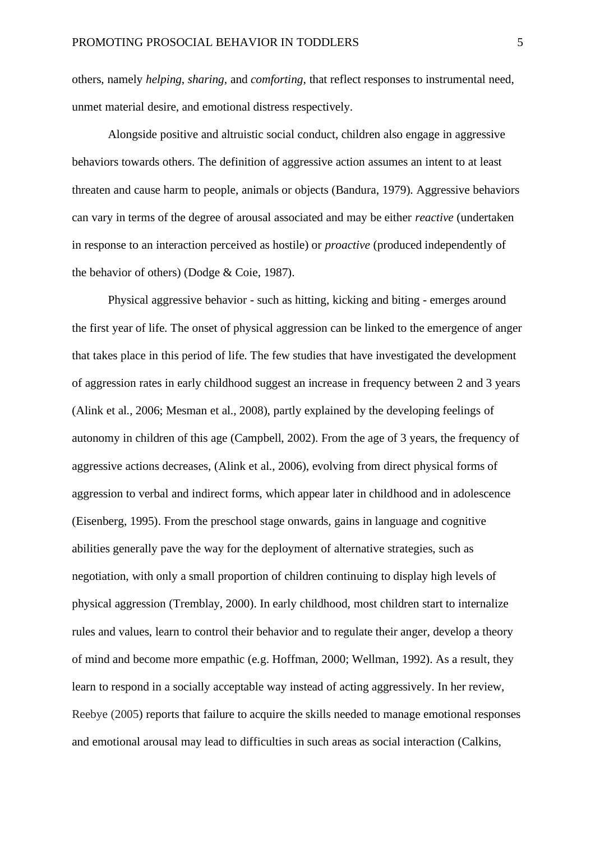others, namely *helping*, *sharing,* and *comforting*, that reflect responses to instrumental need, unmet material desire, and emotional distress respectively.

Alongside positive and altruistic social conduct, children also engage in aggressive behaviors towards others. The definition of aggressive action assumes an intent to at least threaten and cause harm to people, animals or objects (Bandura, 1979). Aggressive behaviors can vary in terms of the degree of arousal associated and may be either *reactive* (undertaken in response to an interaction perceived as hostile) or *proactive* (produced independently of the behavior of others) (Dodge & Coie, 1987).

Physical aggressive behavior - such as hitting, kicking and biting - emerges around the first year of life. The onset of physical aggression can be linked to the emergence of anger that takes place in this period of life. The few studies that have investigated the development of aggression rates in early childhood suggest an increase in frequency between 2 and 3 years (Alink et al., 2006; Mesman et al., 2008), partly explained by the developing feelings of autonomy in children of this age (Campbell, 2002). From the age of 3 years, the frequency of aggressive actions decreases, (Alink et al., 2006), evolving from direct physical forms of aggression to verbal and indirect forms, which appear later in childhood and in adolescence (Eisenberg, 1995). From the preschool stage onwards, gains in language and cognitive abilities generally pave the way for the deployment of alternative strategies, such as negotiation, with only a small proportion of children continuing to display high levels of physical aggression (Tremblay, 2000). In early childhood, most children start to internalize rules and values, learn to control their behavior and to regulate their anger, develop a theory of mind and become more empathic (e.g. Hoffman, 2000; Wellman, 1992). As a result, they learn to respond in a socially acceptable way instead of acting aggressively. In her review, Reebye (2005) reports that failure to acquire the skills needed to manage emotional responses and emotional arousal may lead to difficulties in such areas as social interaction (Calkins,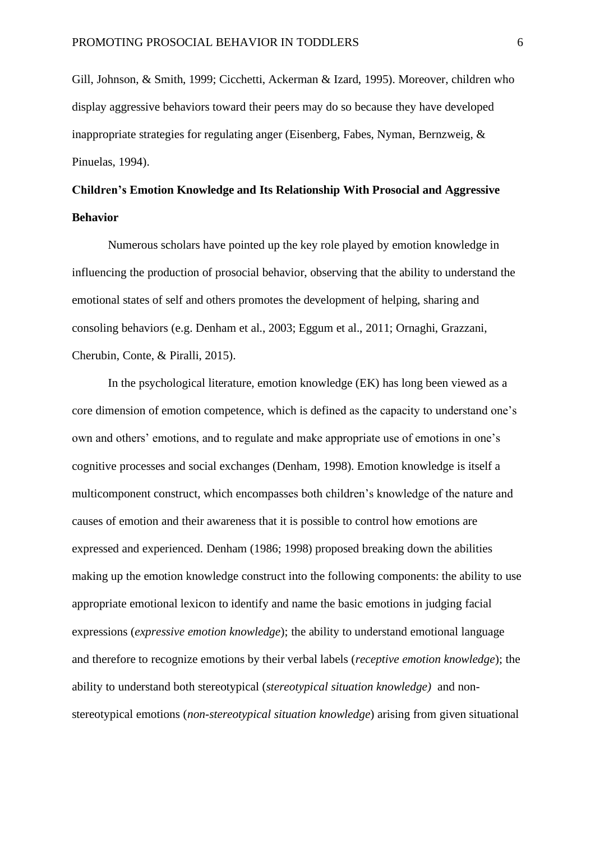Gill, Johnson, & Smith, 1999; Cicchetti, Ackerman & Izard, 1995). Moreover, children who display aggressive behaviors toward their peers may do so because they have developed inappropriate strategies for regulating anger (Eisenberg, Fabes, Nyman, Bernzweig, & Pinuelas, 1994).

# **Children's Emotion Knowledge and Its Relationship With Prosocial and Aggressive Behavior**

Numerous scholars have pointed up the key role played by emotion knowledge in influencing the production of prosocial behavior, observing that the ability to understand the emotional states of self and others promotes the development of helping, sharing and consoling behaviors (e.g. Denham et al., 2003; Eggum et al., 2011; Ornaghi, Grazzani, Cherubin, Conte, & Piralli, 2015).

In the psychological literature, emotion knowledge (EK) has long been viewed as a core dimension of emotion competence, which is defined as the capacity to understand one's own and others' emotions, and to regulate and make appropriate use of emotions in one's cognitive processes and social exchanges (Denham, 1998). Emotion knowledge is itself a multicomponent construct, which encompasses both children's knowledge of the nature and causes of emotion and their awareness that it is possible to control how emotions are expressed and experienced. Denham (1986; 1998) proposed breaking down the abilities making up the emotion knowledge construct into the following components: the ability to use appropriate emotional lexicon to identify and name the basic emotions in judging facial expressions (*expressive emotion knowledge*); the ability to understand emotional language and therefore to recognize emotions by their verbal labels (*receptive emotion knowledge*); the ability to understand both stereotypical (*stereotypical situation knowledge)* and nonstereotypical emotions (*non-stereotypical situation knowledge*) arising from given situational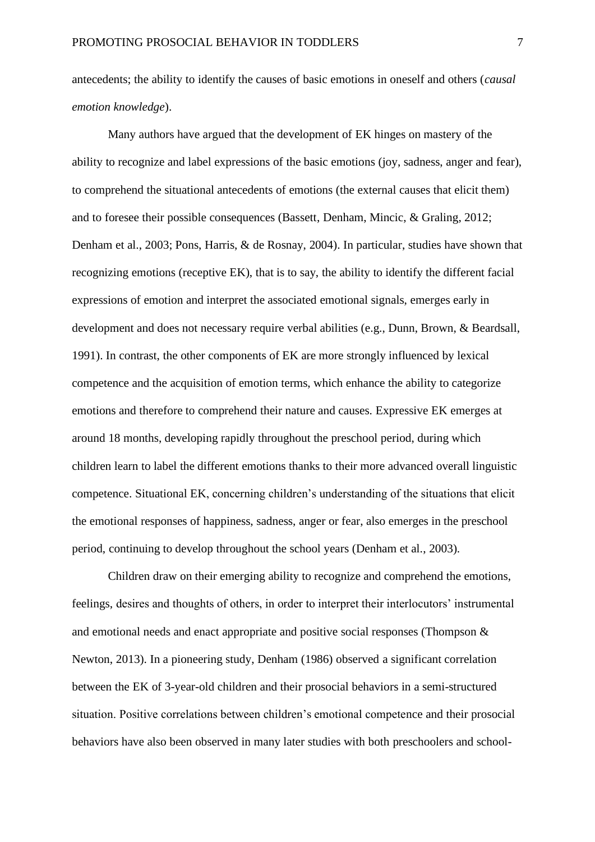antecedents; the ability to identify the causes of basic emotions in oneself and others (*causal emotion knowledge*).

Many authors have argued that the development of EK hinges on mastery of the ability to recognize and label expressions of the basic emotions (joy, sadness, anger and fear), to comprehend the situational antecedents of emotions (the external causes that elicit them) and to foresee their possible consequences (Bassett, Denham, Mincic, & Graling, 2012; Denham et al., 2003; Pons, Harris, & de Rosnay, 2004). In particular, studies have shown that recognizing emotions (receptive EK), that is to say, the ability to identify the different facial expressions of emotion and interpret the associated emotional signals, emerges early in development and does not necessary require verbal abilities (e.g., Dunn, Brown, & Beardsall, 1991). In contrast, the other components of EK are more strongly influenced by lexical competence and the acquisition of emotion terms, which enhance the ability to categorize emotions and therefore to comprehend their nature and causes. Expressive EK emerges at around 18 months, developing rapidly throughout the preschool period, during which children learn to label the different emotions thanks to their more advanced overall linguistic competence. Situational EK, concerning children's understanding of the situations that elicit the emotional responses of happiness, sadness, anger or fear, also emerges in the preschool period, continuing to develop throughout the school years (Denham et al., 2003).

Children draw on their emerging ability to recognize and comprehend the emotions, feelings, desires and thoughts of others, in order to interpret their interlocutors' instrumental and emotional needs and enact appropriate and positive social responses (Thompson & Newton, 2013). In a pioneering study, Denham (1986) observed a significant correlation between the EK of 3-year-old children and their prosocial behaviors in a semi-structured situation. Positive correlations between children's emotional competence and their prosocial behaviors have also been observed in many later studies with both preschoolers and school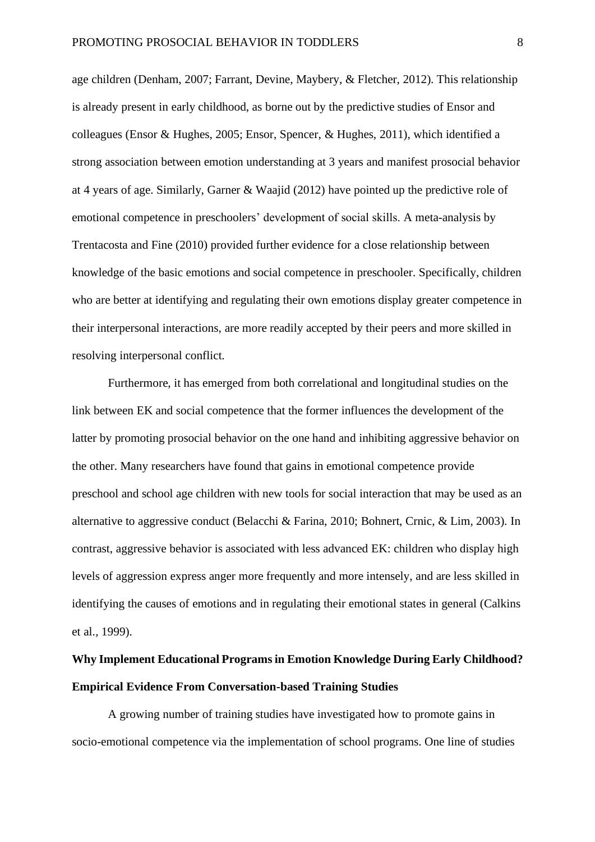age children (Denham, 2007; Farrant, Devine, Maybery, & Fletcher, 2012). This relationship is already present in early childhood, as borne out by the predictive studies of Ensor and colleagues (Ensor & Hughes, 2005; Ensor, Spencer, & Hughes, 2011), which identified a strong association between emotion understanding at 3 years and manifest prosocial behavior at 4 years of age. Similarly, Garner & Waajid (2012) have pointed up the predictive role of emotional competence in preschoolers' development of social skills. A meta-analysis by Trentacosta and Fine (2010) provided further evidence for a close relationship between knowledge of the basic emotions and social competence in preschooler. Specifically, children who are better at identifying and regulating their own emotions display greater competence in their interpersonal interactions, are more readily accepted by their peers and more skilled in resolving interpersonal conflict.

Furthermore, it has emerged from both correlational and longitudinal studies on the link between EK and social competence that the former influences the development of the latter by promoting prosocial behavior on the one hand and inhibiting aggressive behavior on the other. Many researchers have found that gains in emotional competence provide preschool and school age children with new tools for social interaction that may be used as an alternative to aggressive conduct (Belacchi & Farina, 2010; Bohnert, Crnic, & Lim, 2003). In contrast, aggressive behavior is associated with less advanced EK: children who display high levels of aggression express anger more frequently and more intensely, and are less skilled in identifying the causes of emotions and in regulating their emotional states in general (Calkins et al., 1999).

# **Why Implement Educational Programs in Emotion Knowledge During Early Childhood? Empirical Evidence From Conversation-based Training Studies**

A growing number of training studies have investigated how to promote gains in socio-emotional competence via the implementation of school programs. One line of studies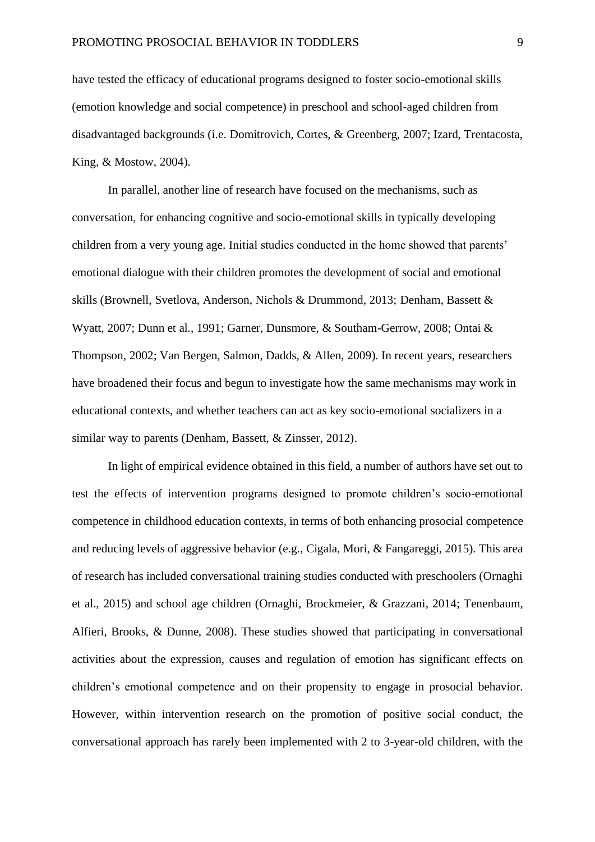have tested the efficacy of educational programs designed to foster socio-emotional skills (emotion knowledge and social competence) in preschool and school-aged children from disadvantaged backgrounds (i.e. Domitrovich, Cortes, & Greenberg, 2007; Izard, Trentacosta, King, & Mostow, 2004).

In parallel, another line of research have focused on the mechanisms, such as conversation, for enhancing cognitive and socio-emotional skills in typically developing children from a very young age. Initial studies conducted in the home showed that parents' emotional dialogue with their children promotes the development of social and emotional skills (Brownell, Svetlova, Anderson, Nichols & Drummond, 2013; Denham, Bassett & Wyatt, 2007; Dunn et al., 1991; Garner, Dunsmore, & Southam-Gerrow, 2008; Ontai & Thompson, 2002; Van Bergen, Salmon, Dadds, & Allen, 2009). In recent years, researchers have broadened their focus and begun to investigate how the same mechanisms may work in educational contexts, and whether teachers can act as key socio-emotional socializers in a similar way to parents (Denham, Bassett, & Zinsser, 2012).

In light of empirical evidence obtained in this field, a number of authors have set out to test the effects of intervention programs designed to promote children's socio-emotional competence in childhood education contexts, in terms of both enhancing prosocial competence and reducing levels of aggressive behavior (e.g., Cigala, Mori, & Fangareggi, 2015). This area of research has included conversational training studies conducted with preschoolers (Ornaghi et al., 2015) and school age children (Ornaghi, Brockmeier, & Grazzani, 2014; Tenenbaum, Alfieri, Brooks, & Dunne, 2008). These studies showed that participating in conversational activities about the expression, causes and regulation of emotion has significant effects on children's emotional competence and on their propensity to engage in prosocial behavior. However, within intervention research on the promotion of positive social conduct, the conversational approach has rarely been implemented with 2 to 3-year-old children, with the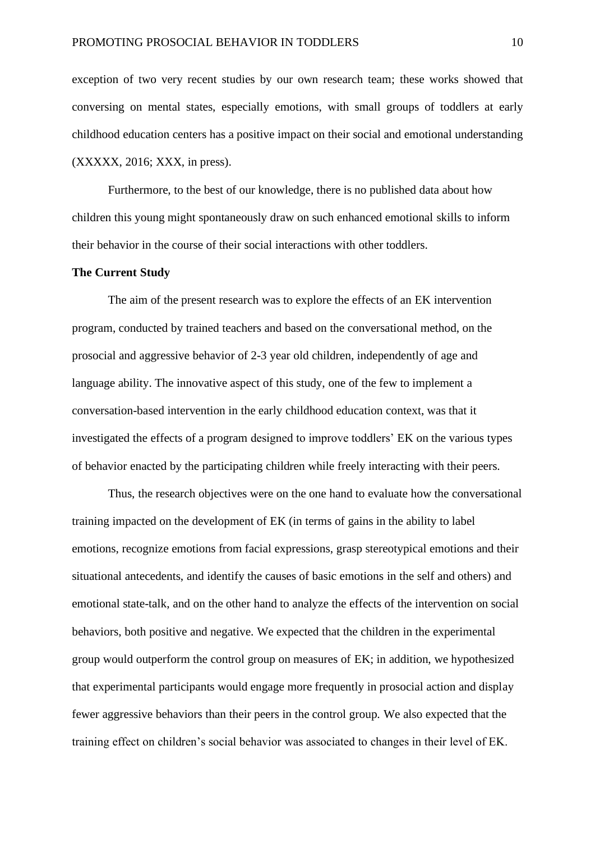exception of two very recent studies by our own research team; these works showed that conversing on mental states, especially emotions, with small groups of toddlers at early childhood education centers has a positive impact on their social and emotional understanding (XXXXX, 2016; XXX, in press).

Furthermore, to the best of our knowledge, there is no published data about how children this young might spontaneously draw on such enhanced emotional skills to inform their behavior in the course of their social interactions with other toddlers.

### **The Current Study**

The aim of the present research was to explore the effects of an EK intervention program, conducted by trained teachers and based on the conversational method, on the prosocial and aggressive behavior of 2-3 year old children, independently of age and language ability. The innovative aspect of this study, one of the few to implement a conversation-based intervention in the early childhood education context, was that it investigated the effects of a program designed to improve toddlers' EK on the various types of behavior enacted by the participating children while freely interacting with their peers.

Thus, the research objectives were on the one hand to evaluate how the conversational training impacted on the development of EK (in terms of gains in the ability to label emotions, recognize emotions from facial expressions, grasp stereotypical emotions and their situational antecedents, and identify the causes of basic emotions in the self and others) and emotional state-talk, and on the other hand to analyze the effects of the intervention on social behaviors, both positive and negative. We expected that the children in the experimental group would outperform the control group on measures of EK; in addition, we hypothesized that experimental participants would engage more frequently in prosocial action and display fewer aggressive behaviors than their peers in the control group. We also expected that the training effect on children's social behavior was associated to changes in their level of EK.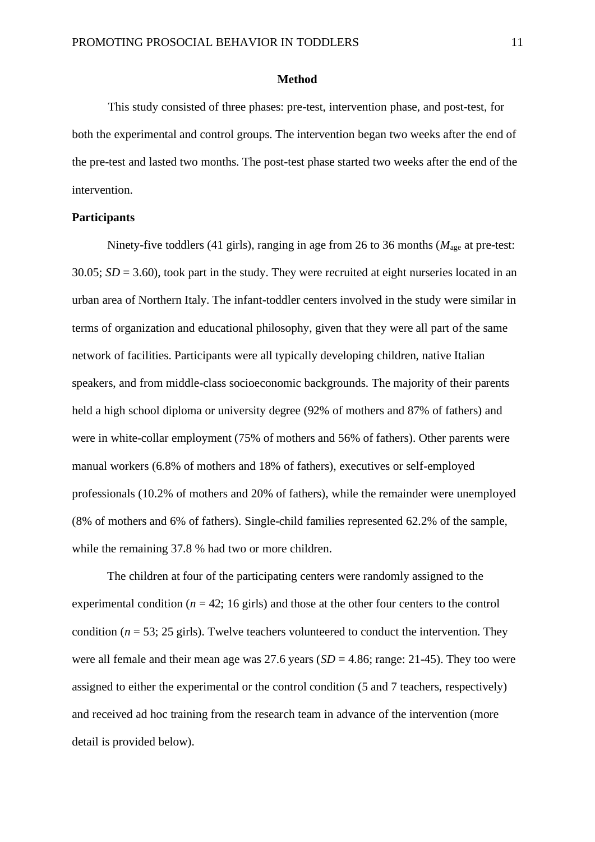### **Method**

This study consisted of three phases: pre-test, intervention phase, and post-test, for both the experimental and control groups. The intervention began two weeks after the end of the pre-test and lasted two months. The post-test phase started two weeks after the end of the intervention.

## **Participants**

Ninety-five toddlers (41 girls), ranging in age from 26 to 36 months (*M*age at pre-test:  $30.05$ ;  $SD = 3.60$ ), took part in the study. They were recruited at eight nurseries located in an urban area of Northern Italy. The infant-toddler centers involved in the study were similar in terms of organization and educational philosophy, given that they were all part of the same network of facilities. Participants were all typically developing children, native Italian speakers, and from middle-class socioeconomic backgrounds. The majority of their parents held a high school diploma or university degree (92% of mothers and 87% of fathers) and were in white-collar employment (75% of mothers and 56% of fathers). Other parents were manual workers (6.8% of mothers and 18% of fathers), executives or self-employed professionals (10.2% of mothers and 20% of fathers), while the remainder were unemployed (8% of mothers and 6% of fathers). Single-child families represented 62.2% of the sample, while the remaining 37.8 % had two or more children.

The children at four of the participating centers were randomly assigned to the experimental condition ( $n = 42$ ; 16 girls) and those at the other four centers to the control condition ( $n = 53$ ; 25 girls). Twelve teachers volunteered to conduct the intervention. They were all female and their mean age was  $27.6$  years ( $SD = 4.86$ ; range: 21-45). They too were assigned to either the experimental or the control condition (5 and 7 teachers, respectively) and received ad hoc training from the research team in advance of the intervention (more detail is provided below).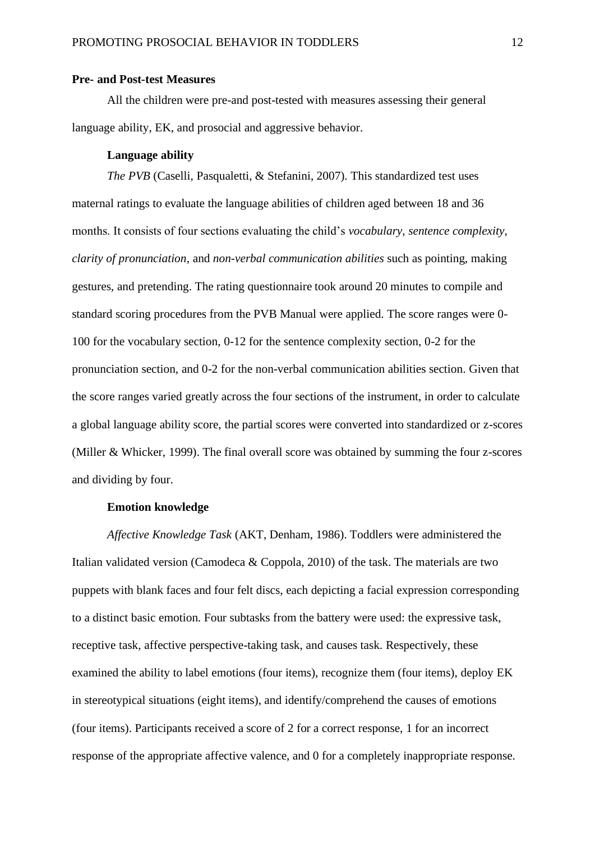### **Pre- and Post-test Measures**

All the children were pre-and post-tested with measures assessing their general language ability, EK, and prosocial and aggressive behavior.

## **Language ability**

*The PVB* (Caselli, Pasqualetti, & Stefanini, 2007). This standardized test uses maternal ratings to evaluate the language abilities of children aged between 18 and 36 months. It consists of four sections evaluating the child's *vocabulary*, *sentence complexity*, *clarity of pronunciation*, and *non-verbal communication abilities* such as pointing, making gestures, and pretending. The rating questionnaire took around 20 minutes to compile and standard scoring procedures from the PVB Manual were applied. The score ranges were 0- 100 for the vocabulary section, 0-12 for the sentence complexity section, 0-2 for the pronunciation section, and 0-2 for the non-verbal communication abilities section. Given that the score ranges varied greatly across the four sections of the instrument, in order to calculate a global language ability score, the partial scores were converted into standardized or z-scores (Miller & Whicker, 1999). The final overall score was obtained by summing the four z-scores and dividing by four.

## **Emotion knowledge**

*Affective Knowledge Task* (AKT, Denham, 1986). Toddlers were administered the Italian validated version (Camodeca  $&$  Coppola, 2010) of the task. The materials are two puppets with blank faces and four felt discs, each depicting a facial expression corresponding to a distinct basic emotion. Four subtasks from the battery were used: the expressive task, receptive task, affective perspective-taking task, and causes task. Respectively, these examined the ability to label emotions (four items), recognize them (four items), deploy EK in stereotypical situations (eight items), and identify/comprehend the causes of emotions (four items). Participants received a score of 2 for a correct response, 1 for an incorrect response of the appropriate affective valence, and 0 for a completely inappropriate response.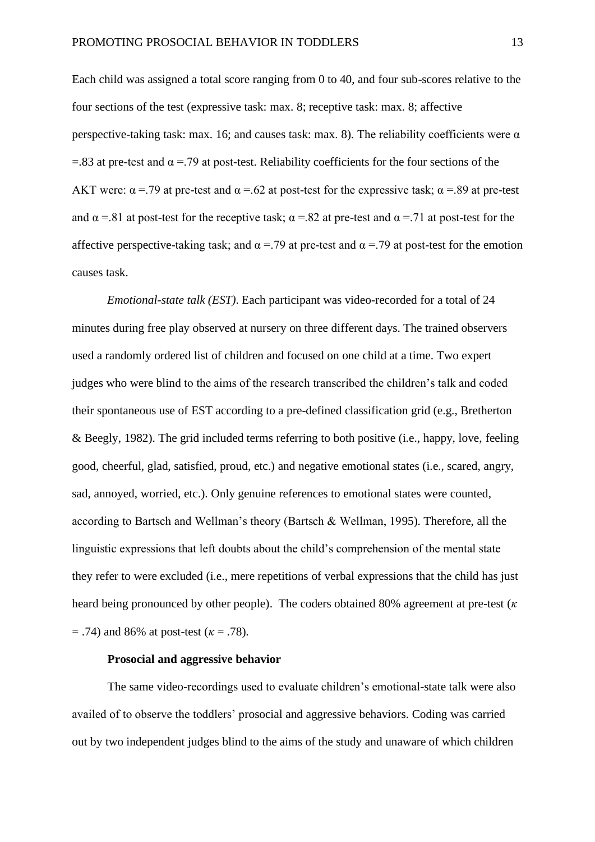Each child was assigned a total score ranging from 0 to 40, and four sub-scores relative to the four sections of the test (expressive task: max. 8; receptive task: max. 8; affective perspective-taking task: max. 16; and causes task: max. 8). The reliability coefficients were  $\alpha$  $=$ .83 at pre-test and  $\alpha =$ .79 at post-test. Reliability coefficients for the four sections of the AKT were:  $\alpha$  =.79 at pre-test and  $\alpha$  =.62 at post-test for the expressive task;  $\alpha$  =.89 at pre-test and  $\alpha$  =.81 at post-test for the receptive task;  $\alpha$  =.82 at pre-test and  $\alpha$  =.71 at post-test for the affective perspective-taking task; and  $\alpha$  = .79 at pre-test and  $\alpha$  = .79 at post-test for the emotion causes task.

*Emotional-state talk (EST)*. Each participant was video-recorded for a total of 24 minutes during free play observed at nursery on three different days. The trained observers used a randomly ordered list of children and focused on one child at a time. Two expert judges who were blind to the aims of the research transcribed the children's talk and coded their spontaneous use of EST according to a pre-defined classification grid (e.g., Bretherton & Beegly, 1982). The grid included terms referring to both positive (i.e., happy, love, feeling good, cheerful, glad, satisfied, proud, etc.) and negative emotional states (i.e., scared, angry, sad, annoyed, worried, etc.). Only genuine references to emotional states were counted, according to Bartsch and Wellman's theory (Bartsch & Wellman, 1995). Therefore, all the linguistic expressions that left doubts about the child's comprehension of the mental state they refer to were excluded (i.e., mere repetitions of verbal expressions that the child has just heard being pronounced by other people). The coders obtained 80% agreement at pre-test (*κ*  = .74) and 86% at post-test (*κ* = .78).

## **Prosocial and aggressive behavior**

The same video-recordings used to evaluate children's emotional-state talk were also availed of to observe the toddlers' prosocial and aggressive behaviors. Coding was carried out by two independent judges blind to the aims of the study and unaware of which children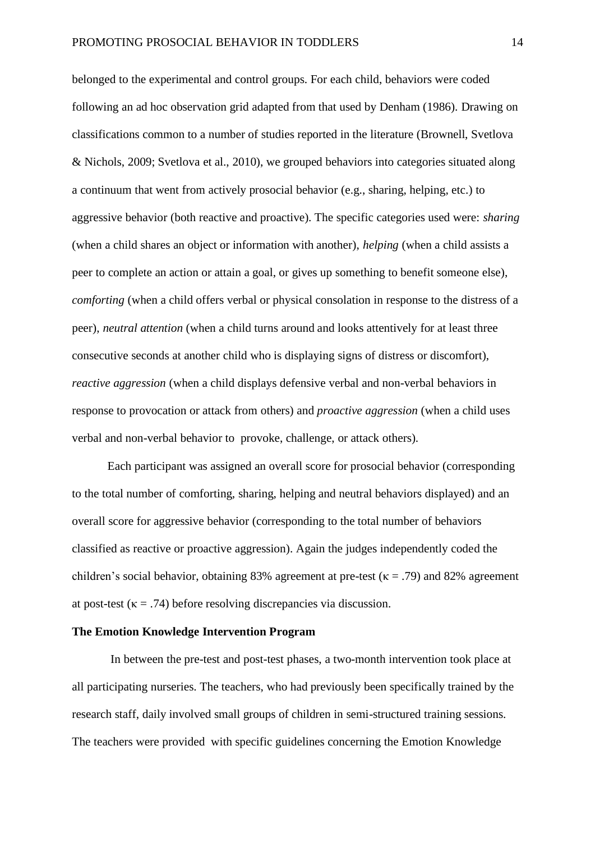belonged to the experimental and control groups. For each child, behaviors were coded following an ad hoc observation grid adapted from that used by Denham (1986). Drawing on classifications common to a number of studies reported in the literature (Brownell, Svetlova & Nichols, 2009; Svetlova et al., 2010), we grouped behaviors into categories situated along a continuum that went from actively prosocial behavior (e.g., sharing, helping, etc.) to aggressive behavior (both reactive and proactive). The specific categories used were: *sharing*  (when a child shares an object or information with another), *helping* (when a child assists a peer to complete an action or attain a goal, or gives up something to benefit someone else), *comforting* (when a child offers verbal or physical consolation in response to the distress of a peer), *neutral attention* (when a child turns around and looks attentively for at least three consecutive seconds at another child who is displaying signs of distress or discomfort), *reactive aggression* (when a child displays defensive verbal and non-verbal behaviors in response to provocation or attack from others) and *proactive aggression* (when a child uses verbal and non-verbal behavior to provoke, challenge, or attack others).

Each participant was assigned an overall score for prosocial behavior (corresponding to the total number of comforting, sharing, helping and neutral behaviors displayed) and an overall score for aggressive behavior (corresponding to the total number of behaviors classified as reactive or proactive aggression). Again the judges independently coded the children's social behavior, obtaining 83% agreement at pre-test ( $\kappa = .79$ ) and 82% agreement at post-test ( $\kappa = .74$ ) before resolving discrepancies via discussion.

## **The Emotion Knowledge Intervention Program**

In between the pre-test and post-test phases, a two-month intervention took place at all participating nurseries. The teachers, who had previously been specifically trained by the research staff, daily involved small groups of children in semi-structured training sessions. The teachers were provided with specific guidelines concerning the Emotion Knowledge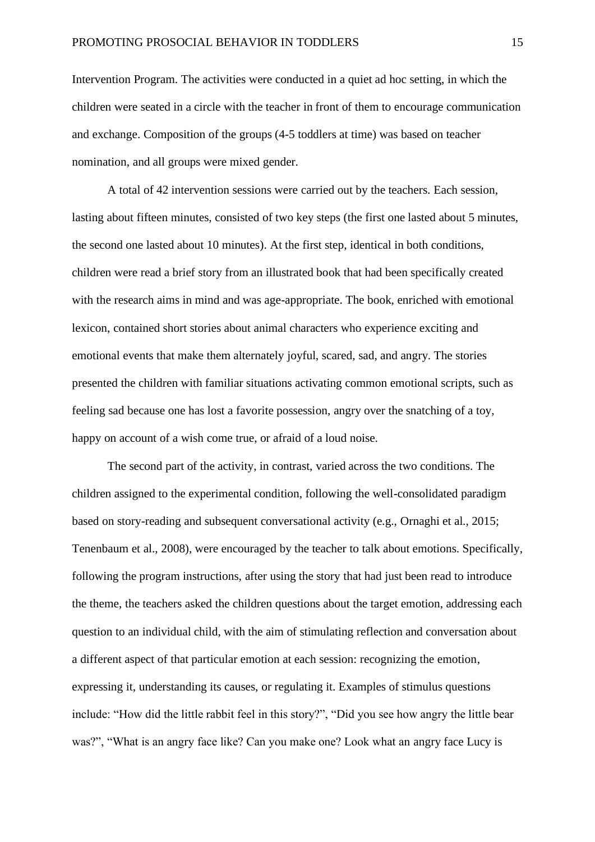Intervention Program. The activities were conducted in a quiet ad hoc setting, in which the children were seated in a circle with the teacher in front of them to encourage communication and exchange. Composition of the groups (4-5 toddlers at time) was based on teacher nomination, and all groups were mixed gender.

A total of 42 intervention sessions were carried out by the teachers. Each session, lasting about fifteen minutes, consisted of two key steps (the first one lasted about 5 minutes, the second one lasted about 10 minutes). At the first step, identical in both conditions, children were read a brief story from an illustrated book that had been specifically created with the research aims in mind and was age-appropriate. The book, enriched with emotional lexicon, contained short stories about animal characters who experience exciting and emotional events that make them alternately joyful, scared, sad, and angry. The stories presented the children with familiar situations activating common emotional scripts, such as feeling sad because one has lost a favorite possession, angry over the snatching of a toy, happy on account of a wish come true, or afraid of a loud noise.

The second part of the activity, in contrast, varied across the two conditions. The children assigned to the experimental condition, following the well-consolidated paradigm based on story-reading and subsequent conversational activity (e.g., Ornaghi et al., 2015; Tenenbaum et al., 2008), were encouraged by the teacher to talk about emotions. Specifically, following the program instructions, after using the story that had just been read to introduce the theme, the teachers asked the children questions about the target emotion, addressing each question to an individual child, with the aim of stimulating reflection and conversation about a different aspect of that particular emotion at each session: recognizing the emotion, expressing it, understanding its causes, or regulating it. Examples of stimulus questions include: "How did the little rabbit feel in this story?", "Did you see how angry the little bear was?", "What is an angry face like? Can you make one? Look what an angry face Lucy is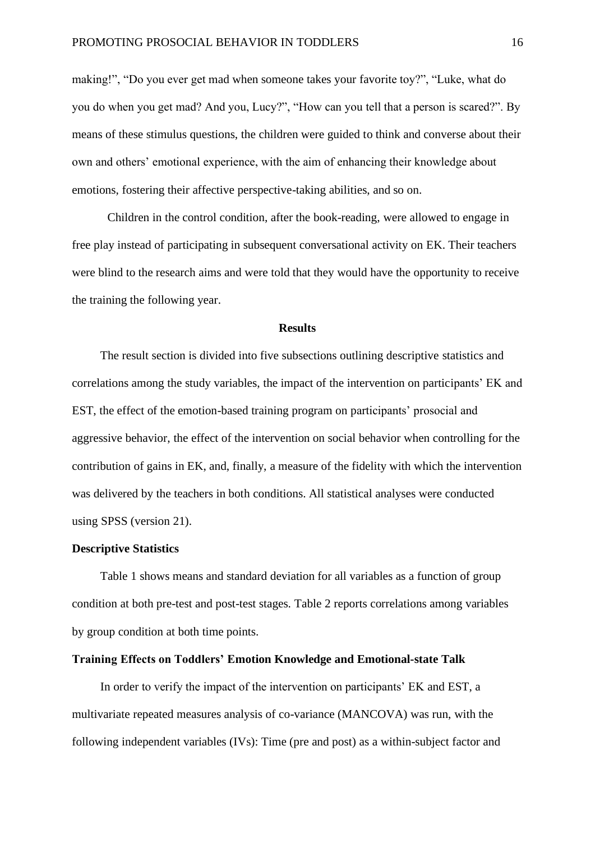making!", "Do you ever get mad when someone takes your favorite toy?", "Luke, what do you do when you get mad? And you, Lucy?", "How can you tell that a person is scared?". By means of these stimulus questions, the children were guided to think and converse about their own and others' emotional experience, with the aim of enhancing their knowledge about emotions, fostering their affective perspective-taking abilities, and so on.

Children in the control condition, after the book-reading, were allowed to engage in free play instead of participating in subsequent conversational activity on EK. Their teachers were blind to the research aims and were told that they would have the opportunity to receive the training the following year.

## **Results**

The result section is divided into five subsections outlining descriptive statistics and correlations among the study variables, the impact of the intervention on participants' EK and EST, the effect of the emotion-based training program on participants' prosocial and aggressive behavior, the effect of the intervention on social behavior when controlling for the contribution of gains in EK, and, finally, a measure of the fidelity with which the intervention was delivered by the teachers in both conditions. All statistical analyses were conducted using SPSS (version 21).

### **Descriptive Statistics**

Table 1 shows means and standard deviation for all variables as a function of group condition at both pre-test and post-test stages. Table 2 reports correlations among variables by group condition at both time points.

## **Training Effects on Toddlers' Emotion Knowledge and Emotional-state Talk**

In order to verify the impact of the intervention on participants' EK and EST, a multivariate repeated measures analysis of co-variance (MANCOVA) was run, with the following independent variables (IVs): Time (pre and post) as a within-subject factor and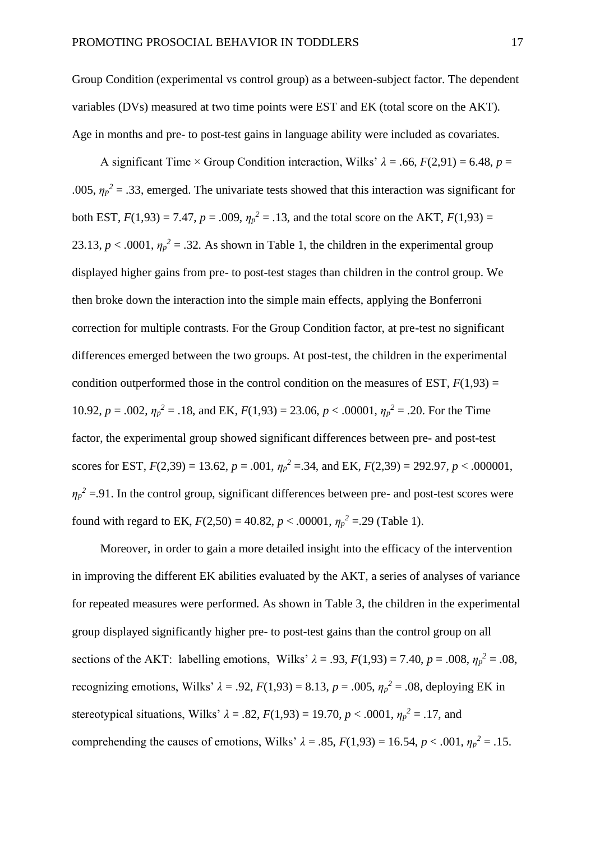Group Condition (experimental vs control group) as a between-subject factor. The dependent variables (DVs) measured at two time points were EST and EK (total score on the AKT). Age in months and pre- to post-test gains in language ability were included as covariates.

A significant Time × Group Condition interaction, Wilks'  $\lambda = .66$ ,  $F(2.91) = 6.48$ ,  $p =$ .005,  $\eta_p^2 = 0.33$ , emerged. The univariate tests showed that this interaction was significant for both EST,  $F(1,93) = 7.47$ ,  $p = .009$ ,  $\eta_p^2 = .13$ , and the total score on the AKT,  $F(1,93) =$ 23.13,  $p < .0001$ ,  $\eta_p^2 = .32$ . As shown in Table 1, the children in the experimental group displayed higher gains from pre- to post-test stages than children in the control group. We then broke down the interaction into the simple main effects, applying the Bonferroni correction for multiple contrasts. For the Group Condition factor, at pre-test no significant differences emerged between the two groups. At post-test, the children in the experimental condition outperformed those in the control condition on the measures of EST,  $F(1,93) =$ 10.92,  $p = .002$ ,  $\eta_p^2 = .18$ , and EK,  $F(1,93) = 23.06$ ,  $p < .00001$ ,  $\eta_p^2 = .20$ . For the Time factor, the experimental group showed significant differences between pre- and post-test scores for EST,  $F(2,39) = 13.62$ ,  $p = .001$ ,  $\eta_p^2 = .34$ , and EK,  $F(2,39) = 292.97$ ,  $p < .000001$ ,  $\eta_p^2$  =.91. In the control group, significant differences between pre- and post-test scores were found with regard to EK,  $F(2,50) = 40.82$ ,  $p < .00001$ ,  $\eta_p^2 = .29$  (Table 1).

Moreover, in order to gain a more detailed insight into the efficacy of the intervention in improving the different EK abilities evaluated by the AKT, a series of analyses of variance for repeated measures were performed. As shown in Table 3, the children in the experimental group displayed significantly higher pre- to post-test gains than the control group on all sections of the AKT: labelling emotions, Wilks'  $\lambda = .93$ ,  $F(1,93) = 7.40$ ,  $p = .008$ ,  $\eta_p^2 = .08$ , recognizing emotions, Wilks'  $\lambda = .92$ ,  $F(1,93) = 8.13$ ,  $p = .005$ ,  $\eta_p^2 = .08$ , deploying EK in stereotypical situations, Wilks'  $\lambda = .82$ ,  $F(1,93) = 19.70$ ,  $p < .0001$ ,  $\eta_p^2 = .17$ , and comprehending the causes of emotions, Wilks'  $\lambda = .85$ ,  $F(1,93) = 16.54$ ,  $p < .001$ ,  $\eta_p^2 = .15$ .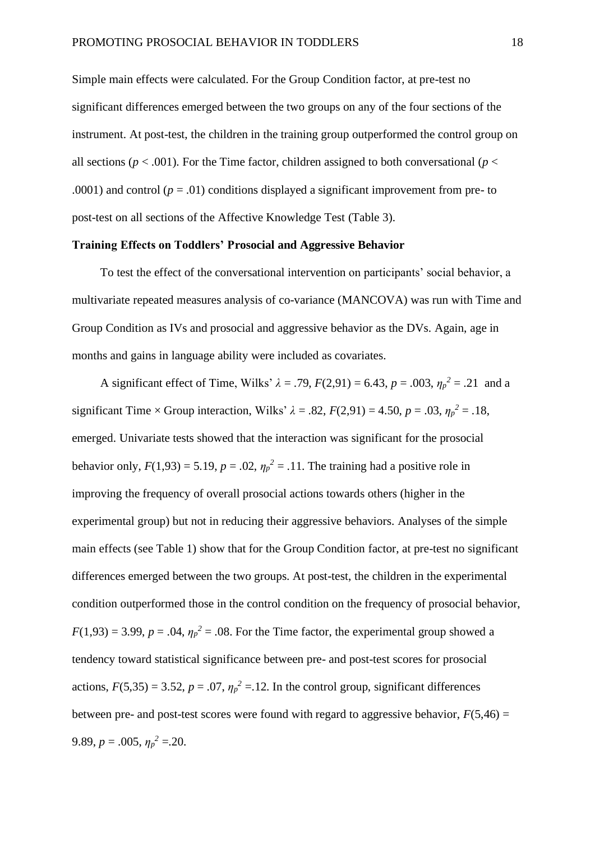Simple main effects were calculated. For the Group Condition factor, at pre-test no significant differences emerged between the two groups on any of the four sections of the instrument. At post-test, the children in the training group outperformed the control group on all sections ( $p < .001$ ). For the Time factor, children assigned to both conversational ( $p <$ .0001) and control ( $p = .01$ ) conditions displayed a significant improvement from pre- to post-test on all sections of the Affective Knowledge Test (Table 3).

### **Training Effects on Toddlers' Prosocial and Aggressive Behavior**

To test the effect of the conversational intervention on participants' social behavior, a multivariate repeated measures analysis of co-variance (MANCOVA) was run with Time and Group Condition as IVs and prosocial and aggressive behavior as the DVs. Again, age in months and gains in language ability were included as covariates.

A significant effect of Time, Wilks'  $\lambda = .79$ ,  $F(2,91) = 6.43$ ,  $p = .003$ ,  $\eta_p^2 = .21$  and a significant Time  $\times$  Group interaction, Wilks'  $\lambda = .82$ ,  $F(2,91) = 4.50$ ,  $p = .03$ ,  $\eta_p^2 = .18$ , emerged. Univariate tests showed that the interaction was significant for the prosocial behavior only,  $F(1,93) = 5.19$ ,  $p = .02$ ,  $\eta_p^2 = .11$ . The training had a positive role in improving the frequency of overall prosocial actions towards others (higher in the experimental group) but not in reducing their aggressive behaviors. Analyses of the simple main effects (see Table 1) show that for the Group Condition factor, at pre-test no significant differences emerged between the two groups. At post-test, the children in the experimental condition outperformed those in the control condition on the frequency of prosocial behavior,  $F(1,93) = 3.99$ ,  $p = .04$ ,  $\eta_p^2 = .08$ . For the Time factor, the experimental group showed a tendency toward statistical significance between pre- and post-test scores for prosocial actions,  $F(5,35) = 3.52$ ,  $p = .07$ ,  $\eta_p^2 = .12$ . In the control group, significant differences between pre- and post-test scores were found with regard to aggressive behavior,  $F(5,46) =$ 9.89,  $p = .005$ ,  $\eta_p^2 = .20$ .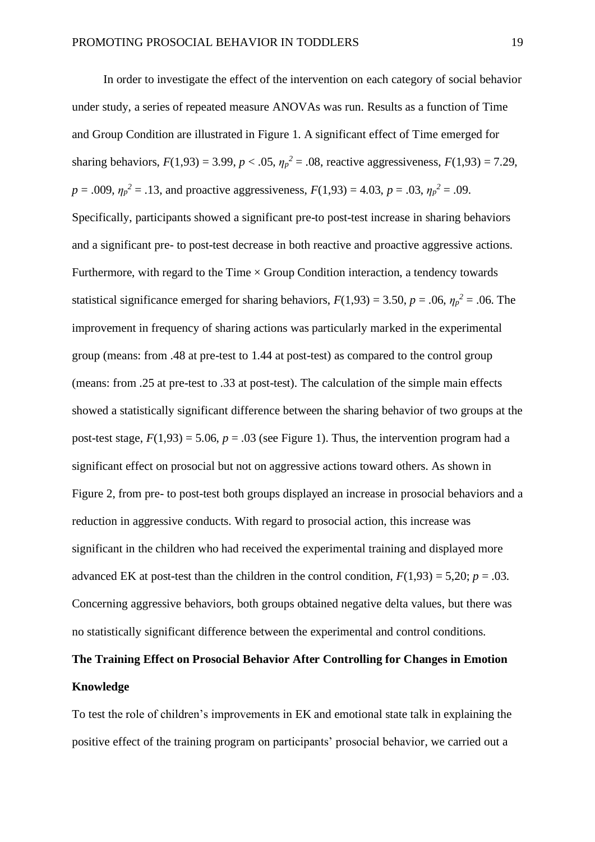In order to investigate the effect of the intervention on each category of social behavior under study, a series of repeated measure ANOVAs was run. Results as a function of Time and Group Condition are illustrated in Figure 1. A significant effect of Time emerged for sharing behaviors,  $F(1,93) = 3.99$ ,  $p < .05$ ,  $\eta_p^2 = .08$ , reactive aggressiveness,  $F(1,93) = 7.29$ ,  $p = .009$ ,  $\eta_p^2 = .13$ , and proactive aggressiveness,  $F(1,93) = 4.03$ ,  $p = .03$ ,  $\eta_p^2 = .09$ . Specifically, participants showed a significant pre-to post-test increase in sharing behaviors and a significant pre- to post-test decrease in both reactive and proactive aggressive actions. Furthermore, with regard to the Time  $\times$  Group Condition interaction, a tendency towards statistical significance emerged for sharing behaviors,  $F(1,93) = 3.50$ ,  $p = .06$ ,  $\eta_p^2 = .06$ . The improvement in frequency of sharing actions was particularly marked in the experimental group (means: from .48 at pre-test to 1.44 at post-test) as compared to the control group (means: from .25 at pre-test to .33 at post-test). The calculation of the simple main effects showed a statistically significant difference between the sharing behavior of two groups at the post-test stage,  $F(1,93) = 5.06$ ,  $p = .03$  (see Figure 1). Thus, the intervention program had a significant effect on prosocial but not on aggressive actions toward others. As shown in Figure 2, from pre- to post-test both groups displayed an increase in prosocial behaviors and a reduction in aggressive conducts. With regard to prosocial action, this increase was significant in the children who had received the experimental training and displayed more advanced EK at post-test than the children in the control condition,  $F(1,93) = 5,20$ ;  $p = .03$ . Concerning aggressive behaviors, both groups obtained negative delta values, but there was no statistically significant difference between the experimental and control conditions.

# **The Training Effect on Prosocial Behavior After Controlling for Changes in Emotion Knowledge**

To test the role of children's improvements in EK and emotional state talk in explaining the positive effect of the training program on participants' prosocial behavior, we carried out a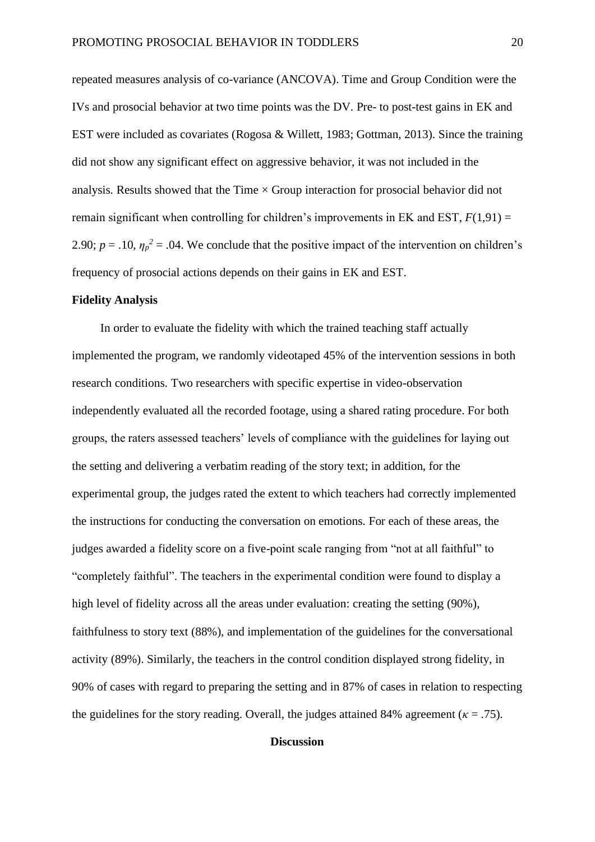repeated measures analysis of co-variance (ANCOVA). Time and Group Condition were the IVs and prosocial behavior at two time points was the DV. Pre- to post-test gains in EK and EST were included as covariates (Rogosa & Willett, 1983; Gottman, 2013). Since the training did not show any significant effect on aggressive behavior, it was not included in the analysis. Results showed that the Time  $\times$  Group interaction for prosocial behavior did not remain significant when controlling for children's improvements in EK and EST,  $F(1,91) =$ 2.90;  $p = .10$ ,  $\eta_p^2 = .04$ . We conclude that the positive impact of the intervention on children's frequency of prosocial actions depends on their gains in EK and EST.

## **Fidelity Analysis**

In order to evaluate the fidelity with which the trained teaching staff actually implemented the program, we randomly videotaped 45% of the intervention sessions in both research conditions. Two researchers with specific expertise in video-observation independently evaluated all the recorded footage, using a shared rating procedure. For both groups, the raters assessed teachers' levels of compliance with the guidelines for laying out the setting and delivering a verbatim reading of the story text; in addition, for the experimental group, the judges rated the extent to which teachers had correctly implemented the instructions for conducting the conversation on emotions. For each of these areas, the judges awarded a fidelity score on a five-point scale ranging from "not at all faithful" to "completely faithful". The teachers in the experimental condition were found to display a high level of fidelity across all the areas under evaluation: creating the setting (90%), faithfulness to story text (88%), and implementation of the guidelines for the conversational activity (89%). Similarly, the teachers in the control condition displayed strong fidelity, in 90% of cases with regard to preparing the setting and in 87% of cases in relation to respecting the guidelines for the story reading. Overall, the judges attained 84% agreement ( $\kappa = .75$ ).

## **Discussion**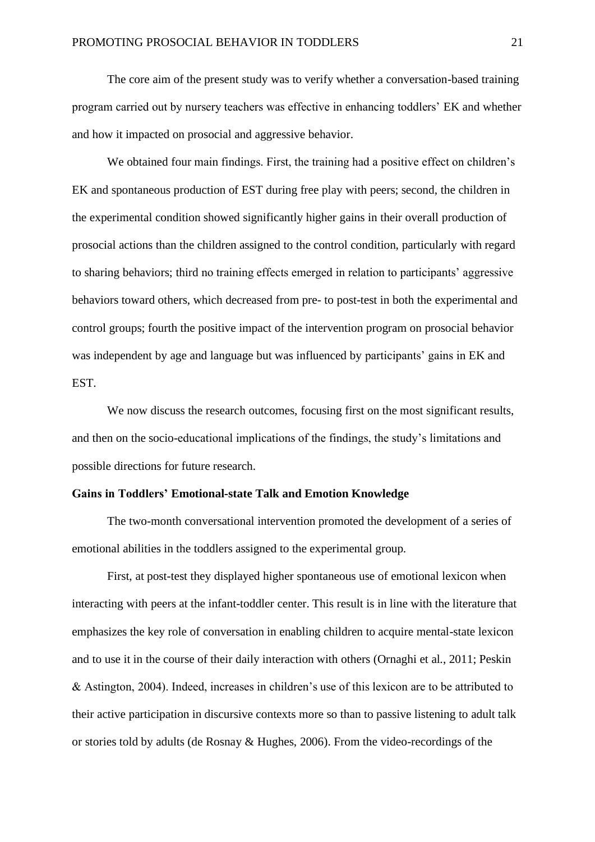The core aim of the present study was to verify whether a conversation-based training program carried out by nursery teachers was effective in enhancing toddlers' EK and whether and how it impacted on prosocial and aggressive behavior.

We obtained four main findings. First, the training had a positive effect on children's EK and spontaneous production of EST during free play with peers; second, the children in the experimental condition showed significantly higher gains in their overall production of prosocial actions than the children assigned to the control condition, particularly with regard to sharing behaviors; third no training effects emerged in relation to participants' aggressive behaviors toward others, which decreased from pre- to post-test in both the experimental and control groups; fourth the positive impact of the intervention program on prosocial behavior was independent by age and language but was influenced by participants' gains in EK and EST.

We now discuss the research outcomes, focusing first on the most significant results, and then on the socio-educational implications of the findings, the study's limitations and possible directions for future research.

## **Gains in Toddlers' Emotional-state Talk and Emotion Knowledge**

The two-month conversational intervention promoted the development of a series of emotional abilities in the toddlers assigned to the experimental group.

First, at post-test they displayed higher spontaneous use of emotional lexicon when interacting with peers at the infant-toddler center. This result is in line with the literature that emphasizes the key role of conversation in enabling children to acquire mental-state lexicon and to use it in the course of their daily interaction with others (Ornaghi et al., 2011; Peskin & Astington, 2004). Indeed, increases in children's use of this lexicon are to be attributed to their active participation in discursive contexts more so than to passive listening to adult talk or stories told by adults (de Rosnay & Hughes, 2006). From the video-recordings of the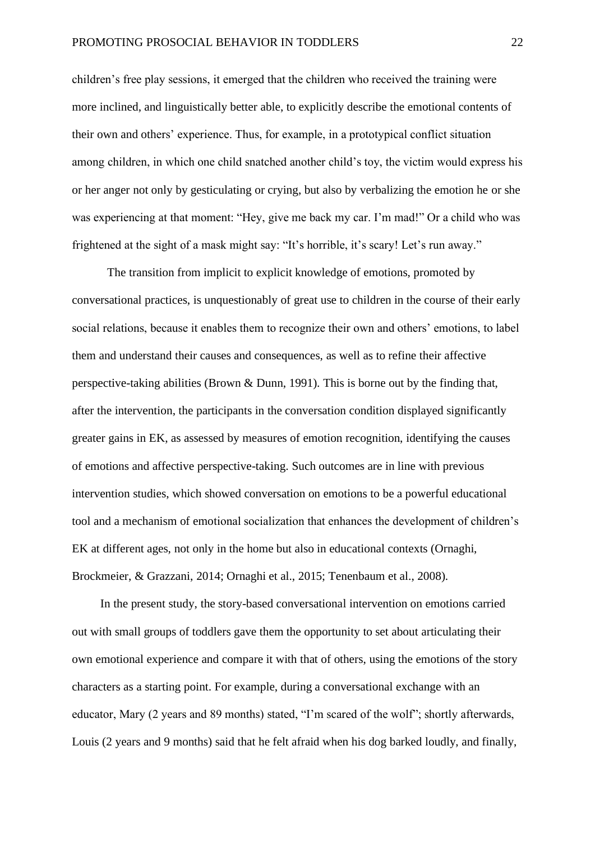children's free play sessions, it emerged that the children who received the training were more inclined, and linguistically better able, to explicitly describe the emotional contents of their own and others' experience. Thus, for example, in a prototypical conflict situation among children, in which one child snatched another child's toy, the victim would express his or her anger not only by gesticulating or crying, but also by verbalizing the emotion he or she was experiencing at that moment: "Hey, give me back my car. I'm mad!" Or a child who was frightened at the sight of a mask might say: "It's horrible, it's scary! Let's run away."

The transition from implicit to explicit knowledge of emotions, promoted by conversational practices, is unquestionably of great use to children in the course of their early social relations, because it enables them to recognize their own and others' emotions, to label them and understand their causes and consequences, as well as to refine their affective perspective-taking abilities (Brown & Dunn, 1991). This is borne out by the finding that, after the intervention, the participants in the conversation condition displayed significantly greater gains in EK, as assessed by measures of emotion recognition, identifying the causes of emotions and affective perspective-taking. Such outcomes are in line with previous intervention studies, which showed conversation on emotions to be a powerful educational tool and a mechanism of emotional socialization that enhances the development of children's EK at different ages, not only in the home but also in educational contexts (Ornaghi, Brockmeier, & Grazzani, 2014; Ornaghi et al., 2015; Tenenbaum et al., 2008).

In the present study, the story-based conversational intervention on emotions carried out with small groups of toddlers gave them the opportunity to set about articulating their own emotional experience and compare it with that of others, using the emotions of the story characters as a starting point. For example, during a conversational exchange with an educator, Mary (2 years and 89 months) stated, "I'm scared of the wolf"; shortly afterwards, Louis (2 years and 9 months) said that he felt afraid when his dog barked loudly, and finally,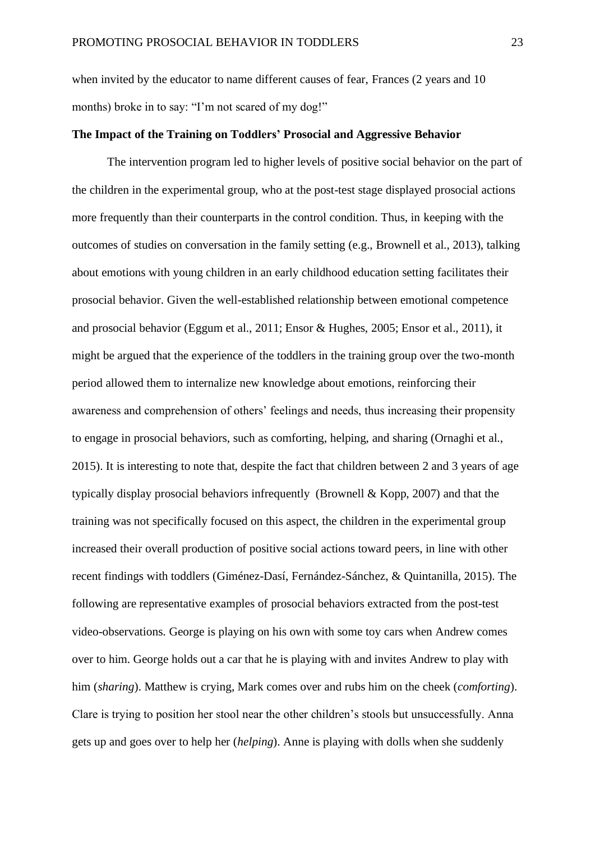when invited by the educator to name different causes of fear, Frances (2 years and 10 months) broke in to say: "I'm not scared of my dog!"

## **The Impact of the Training on Toddlers' Prosocial and Aggressive Behavior**

The intervention program led to higher levels of positive social behavior on the part of the children in the experimental group, who at the post-test stage displayed prosocial actions more frequently than their counterparts in the control condition. Thus, in keeping with the outcomes of studies on conversation in the family setting (e.g., Brownell et al., 2013), talking about emotions with young children in an early childhood education setting facilitates their prosocial behavior. Given the well-established relationship between emotional competence and prosocial behavior (Eggum et al., 2011; Ensor & Hughes, 2005; Ensor et al., 2011), it might be argued that the experience of the toddlers in the training group over the two-month period allowed them to internalize new knowledge about emotions, reinforcing their awareness and comprehension of others' feelings and needs, thus increasing their propensity to engage in prosocial behaviors, such as comforting, helping, and sharing (Ornaghi et al., 2015). It is interesting to note that, despite the fact that children between 2 and 3 years of age typically display prosocial behaviors infrequently (Brownell & Kopp, 2007) and that the training was not specifically focused on this aspect, the children in the experimental group increased their overall production of positive social actions toward peers, in line with other recent findings with toddlers (Giménez-Dasí, Fernández-Sánchez, & Quintanilla, 2015). The following are representative examples of prosocial behaviors extracted from the post-test video-observations. George is playing on his own with some toy cars when Andrew comes over to him. George holds out a car that he is playing with and invites Andrew to play with him (*sharing*). Matthew is crying, Mark comes over and rubs him on the cheek (*comforting*). Clare is trying to position her stool near the other children's stools but unsuccessfully. Anna gets up and goes over to help her (*helping*). Anne is playing with dolls when she suddenly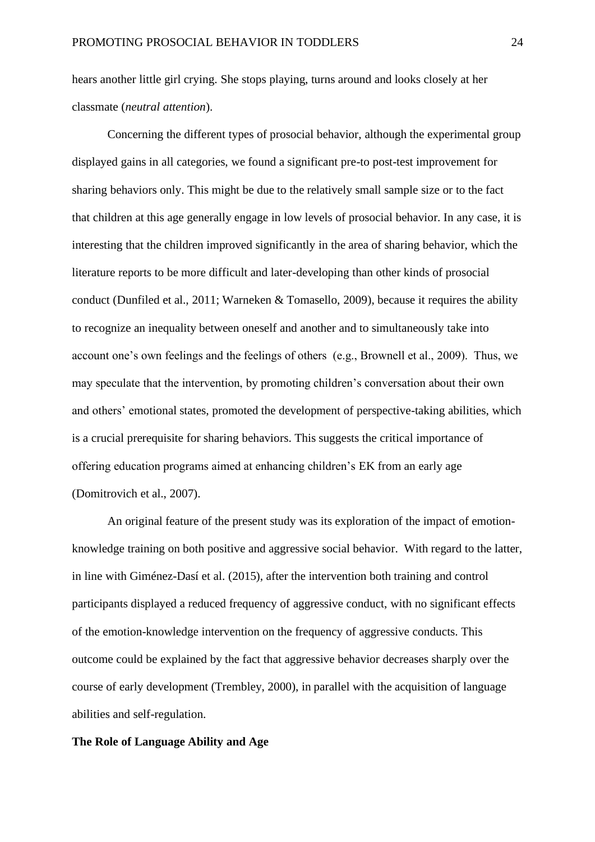hears another little girl crying. She stops playing, turns around and looks closely at her classmate (*neutral attention*).

Concerning the different types of prosocial behavior, although the experimental group displayed gains in all categories, we found a significant pre-to post-test improvement for sharing behaviors only. This might be due to the relatively small sample size or to the fact that children at this age generally engage in low levels of prosocial behavior. In any case, it is interesting that the children improved significantly in the area of sharing behavior, which the literature reports to be more difficult and later-developing than other kinds of prosocial conduct (Dunfiled et al., 2011; Warneken & Tomasello, 2009), because it requires the ability to recognize an inequality between oneself and another and to simultaneously take into account one's own feelings and the feelings of others (e.g., Brownell et al., 2009). Thus, we may speculate that the intervention, by promoting children's conversation about their own and others' emotional states, promoted the development of perspective-taking abilities, which is a crucial prerequisite for sharing behaviors. This suggests the critical importance of offering education programs aimed at enhancing children's EK from an early age (Domitrovich et al., 2007).

An original feature of the present study was its exploration of the impact of emotionknowledge training on both positive and aggressive social behavior. With regard to the latter, in line with Giménez-Dasí et al. (2015), after the intervention both training and control participants displayed a reduced frequency of aggressive conduct, with no significant effects of the emotion-knowledge intervention on the frequency of aggressive conducts. This outcome could be explained by the fact that aggressive behavior decreases sharply over the course of early development (Trembley, 2000), in parallel with the acquisition of language abilities and self-regulation.

## **The Role of Language Ability and Age**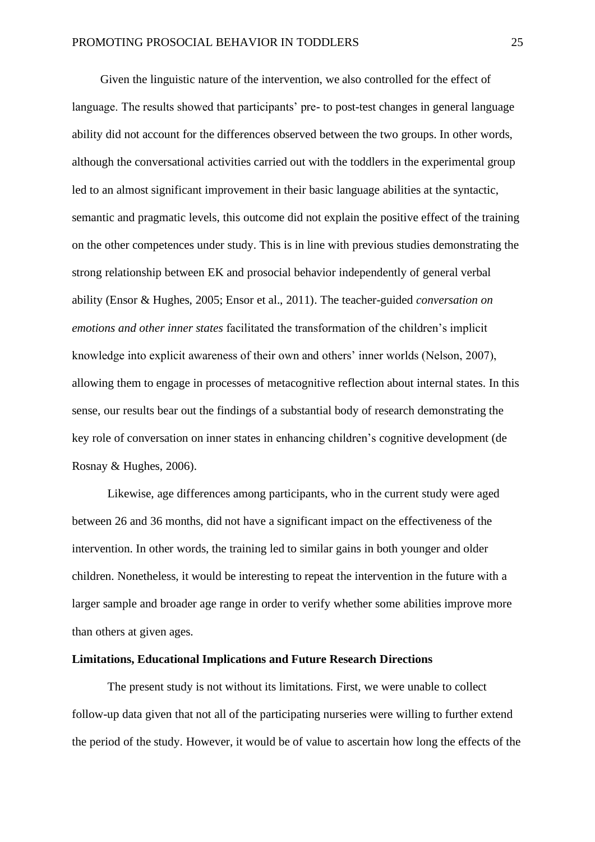Given the linguistic nature of the intervention, we also controlled for the effect of language. The results showed that participants' pre- to post-test changes in general language ability did not account for the differences observed between the two groups. In other words, although the conversational activities carried out with the toddlers in the experimental group led to an almost significant improvement in their basic language abilities at the syntactic, semantic and pragmatic levels, this outcome did not explain the positive effect of the training on the other competences under study. This is in line with previous studies demonstrating the strong relationship between EK and prosocial behavior independently of general verbal ability (Ensor & Hughes, 2005; Ensor et al., 2011). The teacher-guided *conversation on emotions and other inner states* facilitated the transformation of the children's implicit knowledge into explicit awareness of their own and others' inner worlds (Nelson, 2007), allowing them to engage in processes of metacognitive reflection about internal states. In this sense, our results bear out the findings of a substantial body of research demonstrating the key role of conversation on inner states in enhancing children's cognitive development (de Rosnay & Hughes, 2006).

Likewise, age differences among participants, who in the current study were aged between 26 and 36 months, did not have a significant impact on the effectiveness of the intervention. In other words, the training led to similar gains in both younger and older children. Nonetheless, it would be interesting to repeat the intervention in the future with a larger sample and broader age range in order to verify whether some abilities improve more than others at given ages.

## **Limitations, Educational Implications and Future Research Directions**

The present study is not without its limitations. First, we were unable to collect follow-up data given that not all of the participating nurseries were willing to further extend the period of the study. However, it would be of value to ascertain how long the effects of the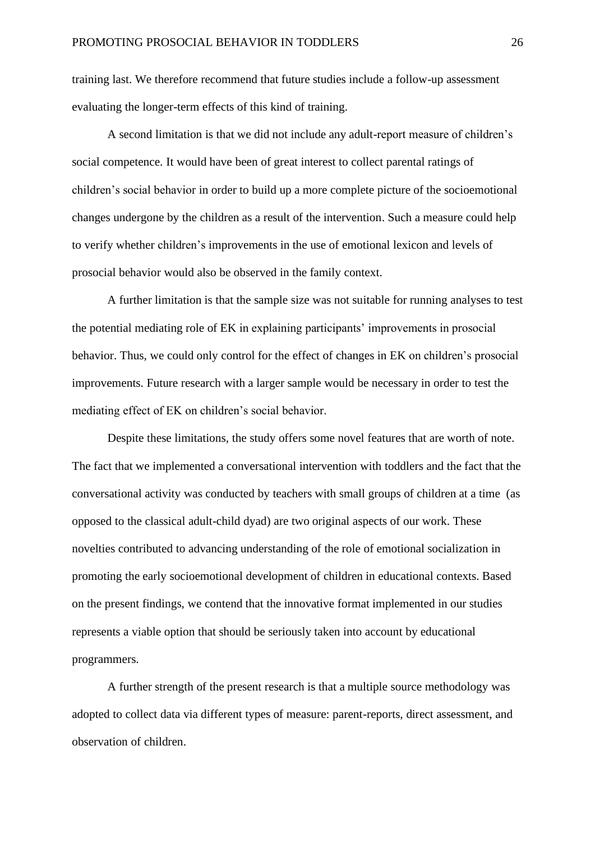training last. We therefore recommend that future studies include a follow-up assessment evaluating the longer-term effects of this kind of training.

A second limitation is that we did not include any adult-report measure of children's social competence. It would have been of great interest to collect parental ratings of children's social behavior in order to build up a more complete picture of the socioemotional changes undergone by the children as a result of the intervention. Such a measure could help to verify whether children's improvements in the use of emotional lexicon and levels of prosocial behavior would also be observed in the family context.

A further limitation is that the sample size was not suitable for running analyses to test the potential mediating role of EK in explaining participants' improvements in prosocial behavior. Thus, we could only control for the effect of changes in EK on children's prosocial improvements. Future research with a larger sample would be necessary in order to test the mediating effect of EK on children's social behavior.

Despite these limitations, the study offers some novel features that are worth of note. The fact that we implemented a conversational intervention with toddlers and the fact that the conversational activity was conducted by teachers with small groups of children at a time (as opposed to the classical adult-child dyad) are two original aspects of our work. These novelties contributed to advancing understanding of the role of emotional socialization in promoting the early socioemotional development of children in educational contexts. Based on the present findings, we contend that the innovative format implemented in our studies represents a viable option that should be seriously taken into account by educational programmers.

A further strength of the present research is that a multiple source methodology was adopted to collect data via different types of measure: parent-reports, direct assessment, and observation of children.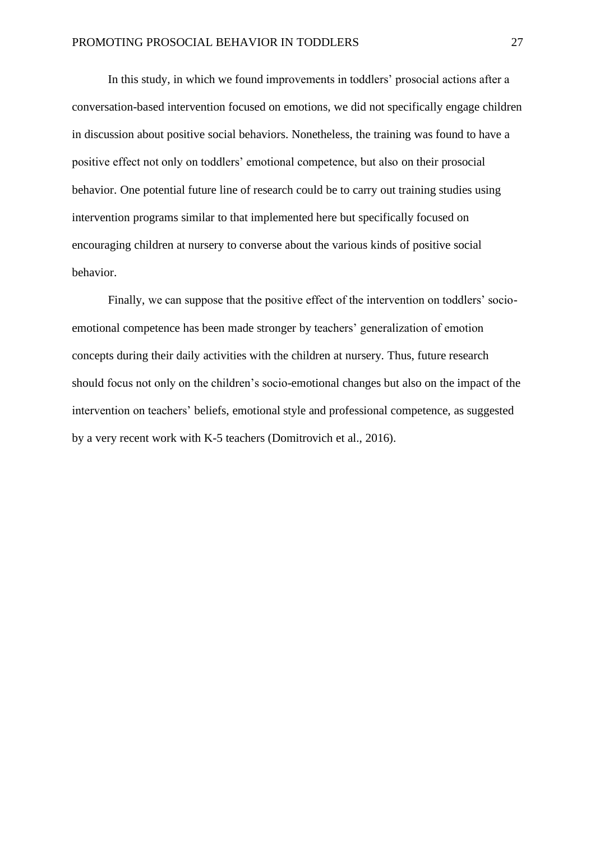In this study, in which we found improvements in toddlers' prosocial actions after a conversation-based intervention focused on emotions, we did not specifically engage children in discussion about positive social behaviors. Nonetheless, the training was found to have a positive effect not only on toddlers' emotional competence, but also on their prosocial behavior. One potential future line of research could be to carry out training studies using intervention programs similar to that implemented here but specifically focused on encouraging children at nursery to converse about the various kinds of positive social behavior.

Finally, we can suppose that the positive effect of the intervention on toddlers' socioemotional competence has been made stronger by teachers' generalization of emotion concepts during their daily activities with the children at nursery. Thus, future research should focus not only on the children's socio-emotional changes but also on the impact of the intervention on teachers' beliefs, emotional style and professional competence, as suggested by a very recent work with K-5 teachers (Domitrovich et al., 2016).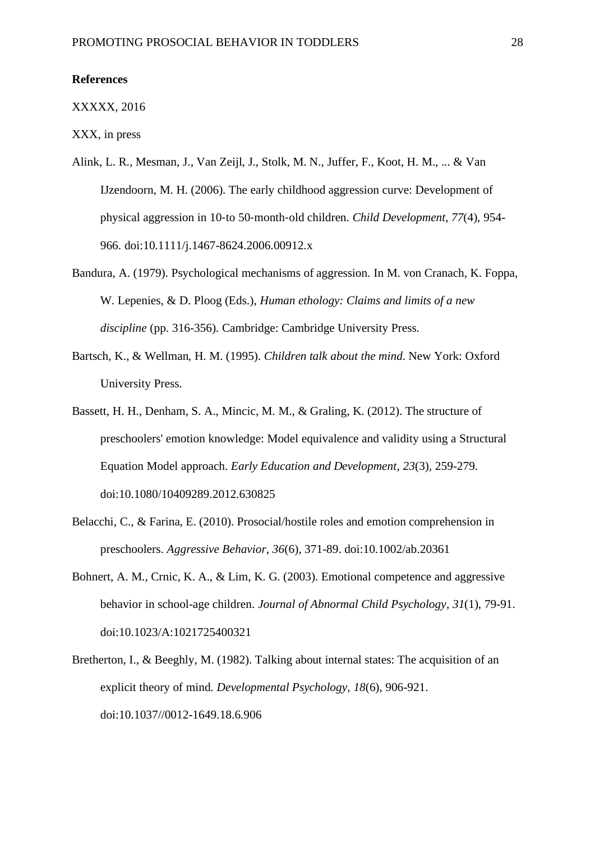#### **References**

#### XXXXX, 2016

XXX, in press

- Alink, L. R., Mesman, J., Van Zeijl, J., Stolk, M. N., Juffer, F., Koot, H. M., ... & Van IJzendoorn, M. H. (2006). The early childhood aggression curve: Development of physical aggression in 10‐to 50‐month‐old children. *Child Development*, *77*(4), 954- 966. doi:10.1111/j.1467-8624.2006.00912.x
- Bandura, A. (1979). Psychological mechanisms of aggression. In M. von Cranach, K. Foppa, W. Lepenies, & D. Ploog (Eds.), *Human ethology: Claims and limits of a new discipline* (pp. 316-356). Cambridge: Cambridge University Press.
- Bartsch, K., & Wellman, H. M. (1995). *Children talk about the mind*. New York: Oxford University Press.
- Bassett, H. H., Denham, S. A., Mincic, M. M., & Graling, K. (2012). The structure of preschoolers' emotion knowledge: Model equivalence and validity using a Structural Equation Model approach. *Early Education and Development*, *23*(3), 259-279. doi:10.1080/10409289.2012.630825
- Belacchi, C., & Farina, E. (2010). Prosocial/hostile roles and emotion comprehension in preschoolers. *Aggressive Behavior*, *36*(6), 371-89. doi:10.1002/ab.20361
- Bohnert, A. M., Crnic, K. A., & Lim, K. G. (2003). Emotional competence and aggressive behavior in school-age children. *Journal of Abnormal Child Psychology*, *31*(1), 79-91. doi:10.1023/A:1021725400321
- Bretherton, I., & Beeghly, M. (1982). Talking about internal states: The acquisition of an explicit theory of mind. *Developmental Psychology*, *18*(6), 906-921. doi:10.1037//0012-1649.18.6.906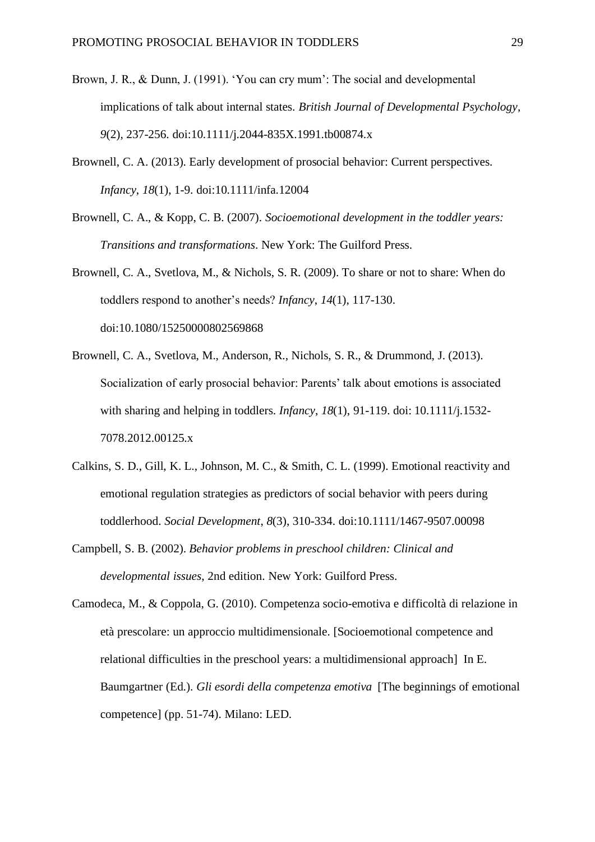- Brown, J. R., & Dunn, J. (1991). 'You can cry mum': The social and developmental implications of talk about internal states. *British Journal of Developmental Psychology*, *9*(2), 237-256. doi:10.1111/j.2044-835X.1991.tb00874.x
- Brownell, C. A. (2013). Early development of prosocial behavior: Current perspectives. *Infancy*, *18*(1), 1-9. doi:10.1111/infa.12004
- Brownell, C. A., & Kopp, C. B. (2007). *Socioemotional development in the toddler years: Transitions and transformations*. New York: The Guilford Press.
- Brownell, C. A., Svetlova, M., & Nichols, S. R. (2009). To share or not to share: When do toddlers respond to another's needs? *Infancy*, *14*(1), 117-130. doi:10.1080/15250000802569868
- Brownell, C. A., Svetlova, M., Anderson, R., Nichols, S. R., & Drummond, J. (2013). Socialization of early prosocial behavior: Parents' talk about emotions is associated with sharing and helping in toddlers. *Infancy*, *18*(1), 91-119. doi: 10.1111/j.1532- 7078.2012.00125.x
- Calkins, S. D., Gill, K. L., Johnson, M. C., & Smith, C. L. (1999). Emotional reactivity and emotional regulation strategies as predictors of social behavior with peers during toddlerhood. *Social Development*, *8*(3), 310-334. doi:10.1111/1467-9507.00098
- Campbell, S. B. (2002). *Behavior problems in preschool children: Clinical and developmental issues*, 2nd edition. New York: Guilford Press.
- Camodeca, M., & Coppola, G. (2010). Competenza socio-emotiva e difficoltà di relazione in età prescolare: un approccio multidimensionale. [Socioemotional competence and relational difficulties in the preschool years: a multidimensional approach] In E. Baumgartner (Ed.). *Gli esordi della competenza emotiva* [The beginnings of emotional competence] (pp. 51-74). Milano: LED.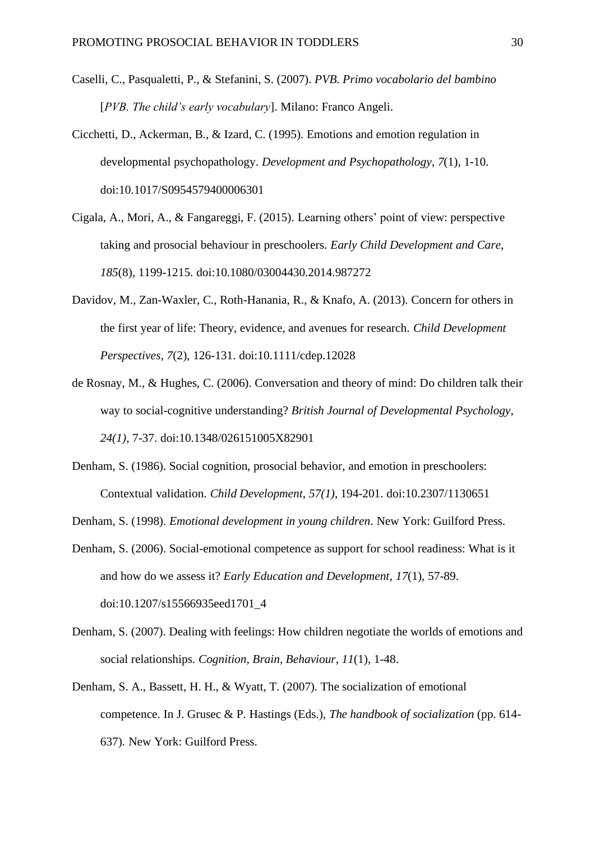- Caselli, C., Pasqualetti, P., & Stefanini, S. (2007). *PVB. Primo vocabolario del bambino* [*PVB. The child's early vocabulary*]. Milano: Franco Angeli.
- Cicchetti, D., Ackerman, B., & Izard, C. (1995). Emotions and emotion regulation in developmental psychopathology. *Development and Psychopathology*, *7*(1), 1-10. doi:10.1017/S0954579400006301
- Cigala, A., Mori, A., & Fangareggi, F. (2015). Learning others' point of view: perspective taking and prosocial behaviour in preschoolers. *Early Child Development and Care*, *185*(8), 1199-1215. doi:10.1080/03004430.2014.987272
- Davidov, M., Zan-Waxler, C., Roth-Hanania, R., & Knafo, A. (2013). Concern for others in the first year of life: Theory, evidence, and avenues for research. *Child Development Perspectives*, *7*(2), 126-131. doi:10.1111/cdep.12028
- de Rosnay, M., & Hughes, C. (2006). Conversation and theory of mind: Do children talk their way to social-cognitive understanding? *British Journal of Developmental Psychology*, *24(1)*, 7-37. doi:10.1348/026151005X82901
- Denham, S. (1986). Social cognition, prosocial behavior, and emotion in preschoolers: Contextual validation. *Child Development*, *57(1)*, 194-201. doi:10.2307/1130651
- Denham, S. (1998). *Emotional development in young children*. New York: Guilford Press.
- Denham, S. (2006). Social-emotional competence as support for school readiness: What is it and how do we assess it? *Early Education and Development*, *17*(1), 57-89. doi:10.1207/s15566935eed1701\_4
- Denham, S. (2007). Dealing with feelings: How children negotiate the worlds of emotions and social relationships. *Cognition, Brain, Behaviour*, *11*(1), 1-48.
- Denham, S. A., Bassett, H. H., & Wyatt, T. (2007). The socialization of emotional competence. In J. Grusec & P. Hastings (Eds.), *The handbook of socialization* (pp. 614- 637)*.* New York: Guilford Press.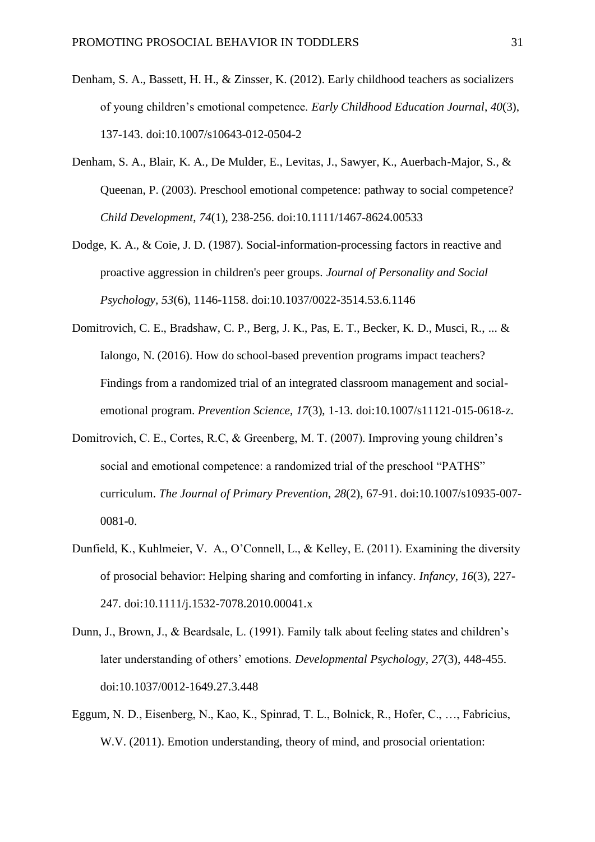- Denham, S. A., Bassett, H. H., & Zinsser, K. (2012). Early childhood teachers as socializers of young children's emotional competence. *Early Childhood Education Journal*, *40*(3), 137-143. doi:10.1007/s10643-012-0504-2
- Denham, S. A., Blair, K. A., De Mulder, E., Levitas, J., Sawyer, K., Auerbach-Major, S., & Queenan, P. (2003). Preschool emotional competence: pathway to social competence? *Child Development*, *74*(1), 238-256. doi:10.1111/1467-8624.00533
- Dodge, K. A., & Coie, J. D. (1987). Social-information-processing factors in reactive and proactive aggression in children's peer groups. *Journal of Personality and Social Psychology, 53*(6)*,* 1146-1158. doi:10.1037/0022-3514.53.6.1146
- Domitrovich, C. E., Bradshaw, C. P., Berg, J. K., Pas, E. T., Becker, K. D., Musci, R., ... & Ialongo, N. (2016). How do school-based prevention programs impact teachers? Findings from a randomized trial of an integrated classroom management and socialemotional program. *Prevention Science*, *17*(3), 1-13. doi:10.1007/s11121-015-0618-z.
- Domitrovich, C. E., Cortes, R.C, & Greenberg, M. T. (2007). Improving young children's social and emotional competence: a randomized trial of the preschool "PATHS" curriculum. *The Journal of Primary Prevention*, *28*(2), 67-91. doi:10.1007/s10935-007- 0081-0.
- Dunfield, K., Kuhlmeier, V. A., O'Connell, L., & Kelley, E. (2011). Examining the diversity of prosocial behavior: Helping sharing and comforting in infancy. *Infancy*, *16*(3), 227- 247. doi:10.1111/j.1532-7078.2010.00041.x
- Dunn, J., Brown, J., & Beardsale, L. (1991). Family talk about feeling states and children's later understanding of others' emotions. *Developmental Psychology*, *27*(3), 448-455. doi:10.1037/0012-1649.27.3.448
- Eggum, N. D., Eisenberg, N., Kao, K., Spinrad, T. L., Bolnick, R., Hofer, C., …, Fabricius, W.V. (2011). Emotion understanding, theory of mind, and prosocial orientation: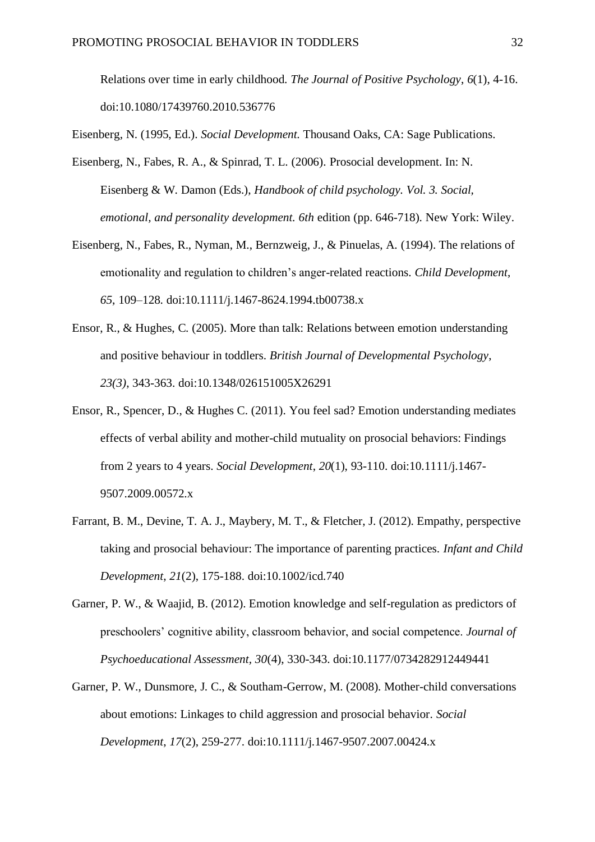Relations over time in early childhood. *The Journal of Positive Psychology*, *6*(1), 4-16. doi:10.1080/17439760.2010.536776

Eisenberg, N. (1995, Ed.). *Social Development.* Thousand Oaks, CA: Sage Publications.

- Eisenberg, N., Fabes, R. A., & Spinrad, T. L. (2006). Prosocial development. In: N. Eisenberg & W. Damon (Eds.), *Handbook of child psychology. Vol. 3. Social, emotional, and personality development. 6th* edition (pp. 646-718)*.* New York: Wiley.
- Eisenberg, N., Fabes, R., Nyman, M., Bernzweig, J., & Pinuelas, A. (1994). The relations of emotionality and regulation to children's anger-related reactions. *Child Development*, *65*, 109–128. doi:10.1111/j.1467-8624.1994.tb00738.x
- Ensor, R., & Hughes, C. (2005). More than talk: Relations between emotion understanding and positive behaviour in toddlers. *British Journal of Developmental Psychology*, *23(3)*, 343-363. doi:10.1348/026151005X26291
- Ensor, R., Spencer, D., & Hughes C. (2011). You feel sad? Emotion understanding mediates effects of verbal ability and mother-child mutuality on prosocial behaviors: Findings from 2 years to 4 years. *Social Development*, *20*(1), 93-110. doi:10.1111/j.1467- 9507.2009.00572.x
- Farrant, B. M., Devine, T. A. J., Maybery, M. T., & Fletcher, J. (2012). Empathy, perspective taking and prosocial behaviour: The importance of parenting practices. *Infant and Child Development*, *21*(2), 175-188. doi:10.1002/icd.740
- Garner, P. W., & Waajid, B. (2012). Emotion knowledge and self-regulation as predictors of preschoolers' cognitive ability, classroom behavior, and social competence. *Journal of Psychoeducational Assessment, 30*(4), 330-343. doi:10.1177/0734282912449441
- Garner, P. W., Dunsmore, J. C., & Southam-Gerrow, M. (2008). Mother-child conversations about emotions: Linkages to child aggression and prosocial behavior. *Social Development*, *17*(2), 259-277. doi:10.1111/j.1467-9507.2007.00424.x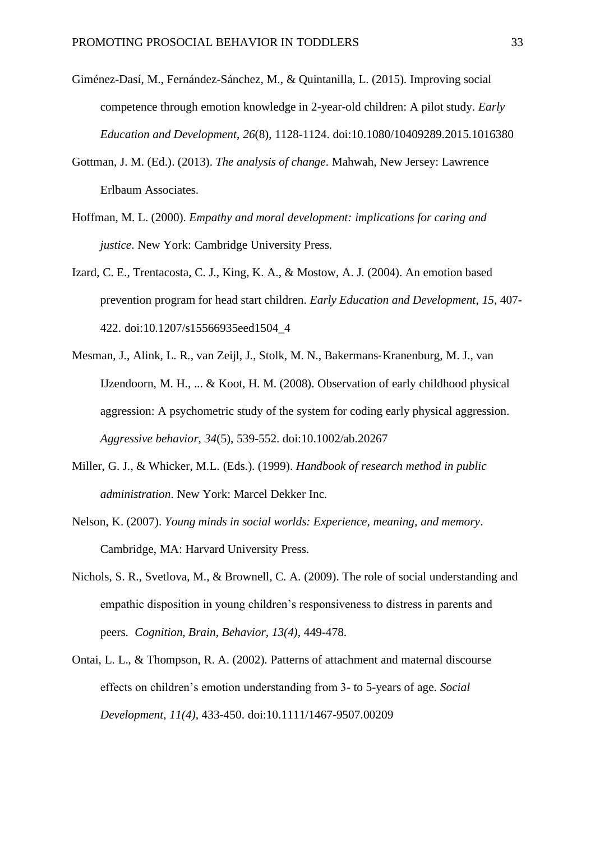- Giménez-Dasí, M., Fernández-Sánchez, M., & Quintanilla, L. (2015). Improving social competence through emotion knowledge in 2-year-old children: A pilot study. *Early Education and Development*, *26*(8), 1128-1124. doi:10.1080/10409289.2015.1016380
- Gottman, J. M. (Ed.). (2013). *The analysis of change*. Mahwah, New Jersey: Lawrence Erlbaum Associates.
- Hoffman, M. L. (2000). *Empathy and moral development: implications for caring and justice*. New York: Cambridge University Press.
- Izard, C. E., Trentacosta, C. J., King, K. A., & Mostow, A. J. (2004). An emotion based prevention program for head start children. *Early Education and Development*, *15*, 407- 422. doi:10.1207/s15566935eed1504\_4
- Mesman, J., Alink, L. R., van Zeijl, J., Stolk, M. N., Bakermans‐Kranenburg, M. J., van IJzendoorn, M. H., ... & Koot, H. M. (2008). Observation of early childhood physical aggression: A psychometric study of the system for coding early physical aggression. *Aggressive behavior*, *34*(5), 539-552. doi:10.1002/ab.20267
- Miller, G. J., & Whicker, M.L. (Eds.). (1999). *Handbook of research method in public administration*. New York: Marcel Dekker Inc.
- Nelson, K. (2007). *Young minds in social worlds: Experience, meaning, and memory*. Cambridge, MA: Harvard University Press.
- Nichols, S. R., Svetlova, M., & Brownell, C. A. (2009). The role of social understanding and empathic disposition in young children's responsiveness to distress in parents and peers. *Cognition, Brain, Behavior, 13(4),* 449-478.
- Ontai, L. L., & Thompson, R. A. (2002). Patterns of attachment and maternal discourse effects on children's emotion understanding from 3- to 5-years of age. *Social Development*, *11(4),* 433-450. doi:10.1111/1467-9507.00209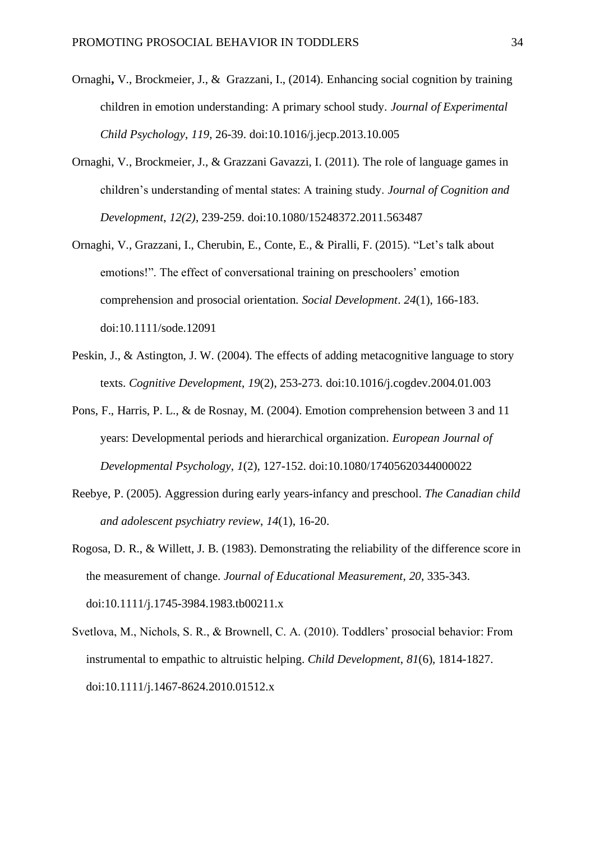- Ornaghi**,** V., Brockmeier, J., & Grazzani, I., (2014). Enhancing social cognition by training children in emotion understanding: A primary school study. *Journal of Experimental Child Psychology*, *119*, 26-39. doi:10.1016/j.jecp.2013.10.005
- Ornaghi, V., Brockmeier, J., & Grazzani Gavazzi, I. (2011). The role of language games in children's understanding of mental states: A training study. *Journal of Cognition and Development*, *12(2)*, 239-259. doi:10.1080/15248372.2011.563487
- Ornaghi, V., Grazzani, I., Cherubin, E., Conte, E., & Piralli, F. (2015). "Let's talk about emotions!". The effect of conversational training on preschoolers' emotion comprehension and prosocial orientation. *Social Development*. *24*(1), 166-183. doi:10.1111/sode.12091
- Peskin, J., & Astington, J. W. (2004). The effects of adding metacognitive language to story texts. *Cognitive Development*, *19*(2), 253-273. doi:10.1016/j.cogdev.2004.01.003
- Pons, F., Harris, P. L., & de Rosnay, M. (2004). Emotion comprehension between 3 and 11 years: Developmental periods and hierarchical organization. *European Journal of Developmental Psychology*, *1*(2), 127-152. doi:10.1080/17405620344000022
- Reebye, P. (2005). Aggression during early years-infancy and preschool. *The Canadian child and adolescent psychiatry review*, *14*(1), 16-20.
- Rogosa, D. R., & Willett, J. B. (1983). Demonstrating the reliability of the difference score in the measurement of change. *Journal of Educational Measurement*, *20*, 335-343. doi:10.1111/j.1745-3984.1983.tb00211.x
- Svetlova, M., Nichols, S. R., & Brownell, C. A. (2010). Toddlers' prosocial behavior: From instrumental to empathic to altruistic helping. *Child Development*, *81*(6), 1814-1827. doi:10.1111/j.1467-8624.2010.01512.x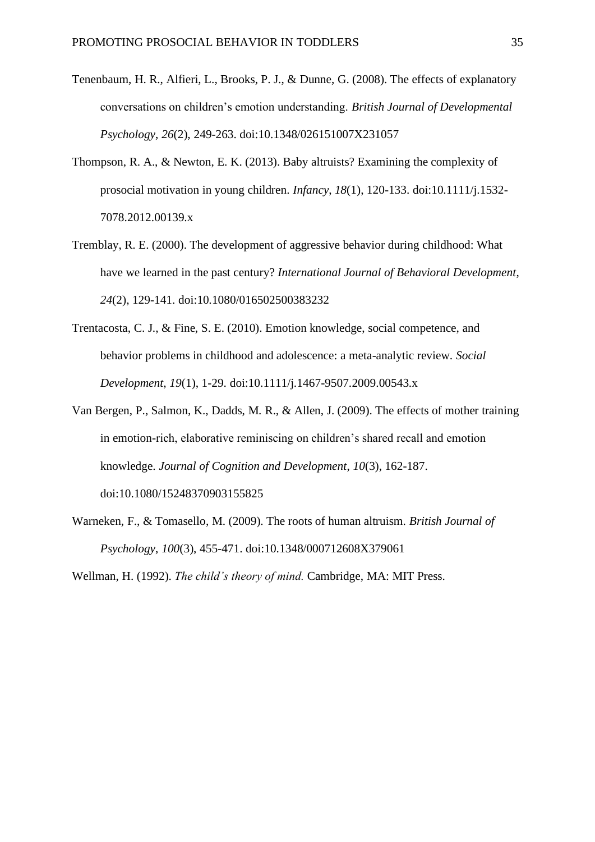- Tenenbaum, H. R., Alfieri, L., Brooks, P. J., & Dunne, G. (2008). The effects of explanatory conversations on children's emotion understanding. *British Journal of Developmental Psychology*, *26*(2), 249-263. doi:10.1348/026151007X231057
- Thompson, R. A., & Newton, E. K. (2013). Baby altruists? Examining the complexity of prosocial motivation in young children. *Infancy*, *18*(1), 120-133. doi:10.1111/j.1532- 7078.2012.00139.x
- Tremblay, R. E. (2000). The development of aggressive behavior during childhood: What have we learned in the past century? *International Journal of Behavioral Development*, *24*(2), 129-141. doi:10.1080/016502500383232
- Trentacosta, C. J., & Fine, S. E. (2010). Emotion knowledge, social competence, and behavior problems in childhood and adolescence: a meta-analytic review. *Social Development*, *19*(1), 1-29. [doi:](http://doi/)10.1111/j.1467-9507.2009.00543.x
- Van Bergen, P., Salmon, K., Dadds, M. R., & Allen, J. (2009). The effects of mother training in emotion-rich, elaborative reminiscing on children's shared recall and emotion knowledge. *Journal of Cognition and Development*, *10*(3), 162-187. doi:10.1080/15248370903155825
- Warneken, F., & Tomasello, M. (2009). The roots of human altruism. *British Journal of Psychology*, *100*(3), 455-471. doi:10.1348/000712608X379061

Wellman, H. (1992). *The child's theory of mind.* Cambridge, MA: MIT Press.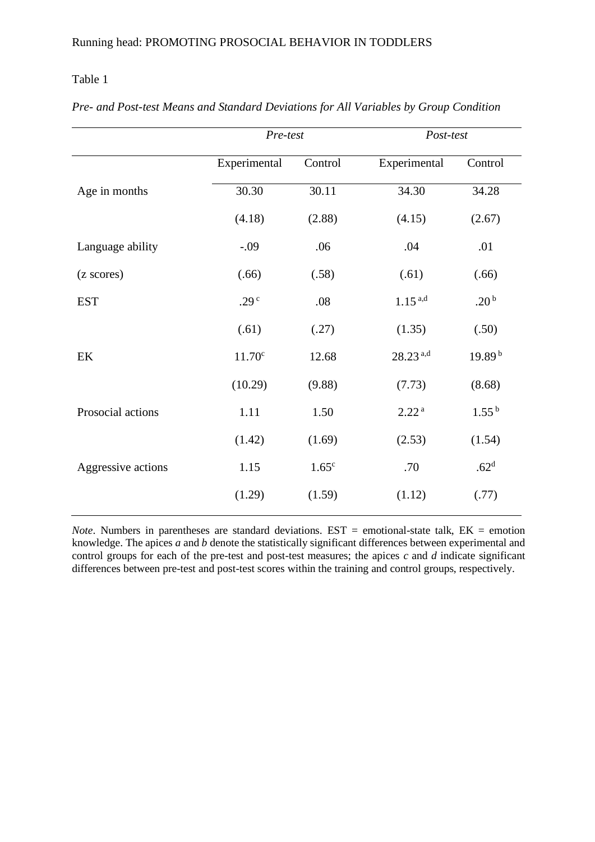## Table 1

|                    | Pre-test           |                   | Post-test              |                    |  |  |
|--------------------|--------------------|-------------------|------------------------|--------------------|--|--|
|                    | Experimental       | Control           | Experimental           | Control            |  |  |
| Age in months      | 30.30              | 30.11             | 34.30                  | 34.28              |  |  |
|                    | (4.18)             | (2.88)            | (4.15)                 | (2.67)             |  |  |
| Language ability   | $-.09$             | .06               | .04                    | .01                |  |  |
| (z scores)         | (.66)              | (.58)             | (.61)                  | (.66)              |  |  |
| <b>EST</b>         | .29 <sup>c</sup>   | .08               | $1.15^{a,d}$           | .20 <sup>b</sup>   |  |  |
|                    | (.61)              | (.27)             | (1.35)                 | (.50)              |  |  |
| EK                 | 11.70 <sup>c</sup> | 12.68             | $28.23$ <sup>a,d</sup> | 19.89 <sup>b</sup> |  |  |
|                    | (10.29)            | (9.88)            | (7.73)                 | (8.68)             |  |  |
| Prosocial actions  | 1.11               | 1.50              | 2.22 <sup>a</sup>      | $1.55^{b}$         |  |  |
|                    | (1.42)             | (1.69)            | (2.53)                 | (1.54)             |  |  |
| Aggressive actions | 1.15               | 1.65 <sup>c</sup> | .70                    | .62 <sup>d</sup>   |  |  |
|                    | (1.29)             | (1.59)            | (1.12)                 | (.77)              |  |  |

*Pre- and Post-test Means and Standard Deviations for All Variables by Group Condition*

*Note*. Numbers in parentheses are standard deviations.  $EST = emotional-state talk$ ,  $EK = emotion$ knowledge. The apices *a* and *b* denote the statistically significant differences between experimental and control groups for each of the pre-test and post-test measures; the apices  $c$  and  $d$  indicate significant differences between pre-test and post-test scores within the training and control groups, respectively.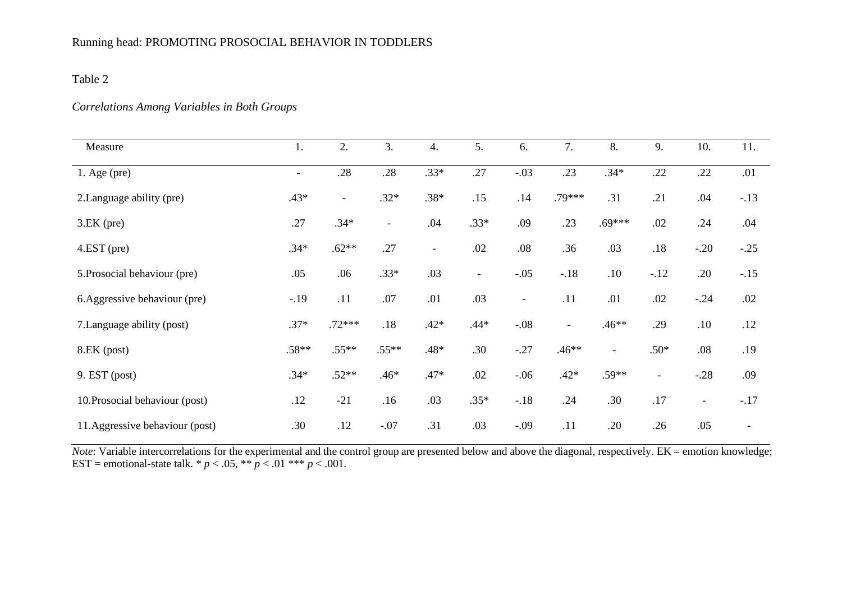## Running head: PROMOTING PROSOCIAL BEHAVIOR IN TODDLERS

# Table 2

## *Correlations Among Variables in Both Groups*

| Measure                         | 1.                       | 2.             | 3.                       | 4.                       | 5.                       | 6.                       | 7.                       | 8.             | 9.                       | 10.                      | 11.                      |
|---------------------------------|--------------------------|----------------|--------------------------|--------------------------|--------------------------|--------------------------|--------------------------|----------------|--------------------------|--------------------------|--------------------------|
| $1.$ Age (pre)                  | $\overline{\phantom{a}}$ | .28            | .28                      | $.33*$                   | .27                      | $-.03$                   | .23                      | $.34*$         | .22                      | .22                      | .01                      |
| 2. Language ability (pre)       | $.43*$                   | $\blacksquare$ | $.32*$                   | $.38*$                   | .15                      | .14                      | .79***                   | .31            | .21                      | .04                      | $-.13$                   |
| $3.EK$ (pre)                    | .27                      | $.34*$         | $\overline{\phantom{a}}$ | .04                      | $.33*$                   | .09                      | .23                      | $.69***$       | .02                      | .24                      | .04                      |
| $4.EST$ (pre)                   | $.34*$                   | $.62**$        | .27                      | $\overline{\phantom{a}}$ | .02                      | $.08\,$                  | .36                      | .03            | .18                      | $-.20$                   | $-.25$                   |
| 5. Prosocial behaviour (pre)    | .05                      | .06            | $.33*$                   | .03                      | $\overline{\phantom{a}}$ | $-.05$                   | $-.18$                   | .10            | $-.12$                   | .20                      | $-.15$                   |
| 6. Aggressive behaviour (pre)   | $-.19$                   | .11            | .07                      | .01                      | .03                      | $\overline{\phantom{a}}$ | .11                      | .01            | .02                      | $-.24$                   | .02                      |
| 7. Language ability (post)      | $.37*$                   | $.72***$       | $.18$                    | $.42*$                   | $.44*$                   | $-.08$                   | $\overline{\phantom{a}}$ | $.46**$        | .29                      | .10                      | .12                      |
| 8.EK (post)                     | $.58**$                  | $.55**$        | $.55***$                 | $.48*$                   | .30                      | $-.27$                   | $.46**$                  | $\blacksquare$ | $.50*$                   | .08                      | .19                      |
| 9. EST (post)                   | $.34*$                   | $.52**$        | $.46*$                   | $.47*$                   | .02                      | $-.06$                   | $.42*$                   | .59**          | $\overline{\phantom{a}}$ | $-.28$                   | .09                      |
| 10. Prosocial behaviour (post)  | .12                      | $-21$          | .16                      | .03                      | $.35*$                   | $-.18$                   | .24                      | .30            | .17                      | $\overline{\phantom{a}}$ | $-.17$                   |
| 11. Aggressive behaviour (post) | .30                      | .12            | $-.07$                   | .31                      | .03                      | $-.09$                   | .11                      | .20            | .26                      | .05                      | $\overline{\phantom{a}}$ |

*Note*: Variable intercorrelations for the experimental and the control group are presented below and above the diagonal, respectively. EK = emotion knowledge; EST = emotional-state talk.  $* p < .05$ ,  $** p < .01$   $*** p < .001$ .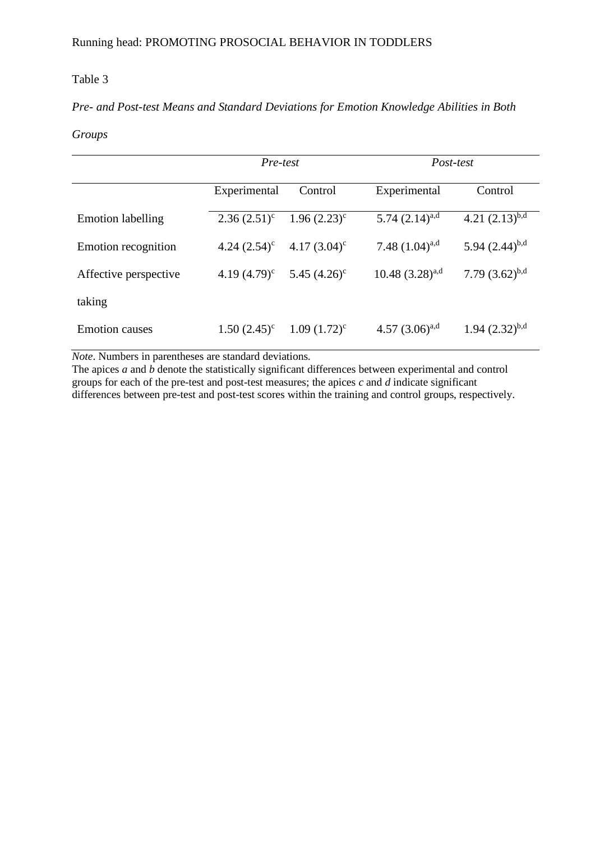## Table 3

# *Pre- and Post-test Means and Standard Deviations for Emotion Knowledge Abilities in Both*

## *Groups*

|                          | Pre-test        |                 | Post-test              |                     |  |
|--------------------------|-----------------|-----------------|------------------------|---------------------|--|
|                          | Experimental    | Control         | Experimental           | Control             |  |
| <b>Emotion labelling</b> | $2.36(2.51)^c$  | $1.96(2.23)^c$  | 5.74 $(2.14)^{a,d}$    | 4.21 $(2.13)^{b,d}$ |  |
| Emotion recognition      | 4.24 $(2.54)^c$ | 4.17 $(3.04)^c$ | 7.48 $(1.04)^{a,d}$    | 5.94 $(2.44)^{b,d}$ |  |
| Affective perspective    | 4.19 $(4.79)^c$ | 5.45 $(4.26)^c$ | $10.48$ $(3.28)^{a,d}$ | 7.79 $(3.62)^{b,d}$ |  |
| taking                   |                 |                 |                        |                     |  |
| <b>Emotion causes</b>    | $1.50(2.45)^c$  | $1.09(1.72)^c$  | 4.57 $(3.06)^{a,d}$    | $1.94 (2.32)^{b,d}$ |  |

*Note*. Numbers in parentheses are standard deviations.

The apices *a* and *b* denote the statistically significant differences between experimental and control groups for each of the pre-test and post-test measures; the apices *c* and *d* indicate significant differences between pre-test and post-test scores within the training and control groups, respectively.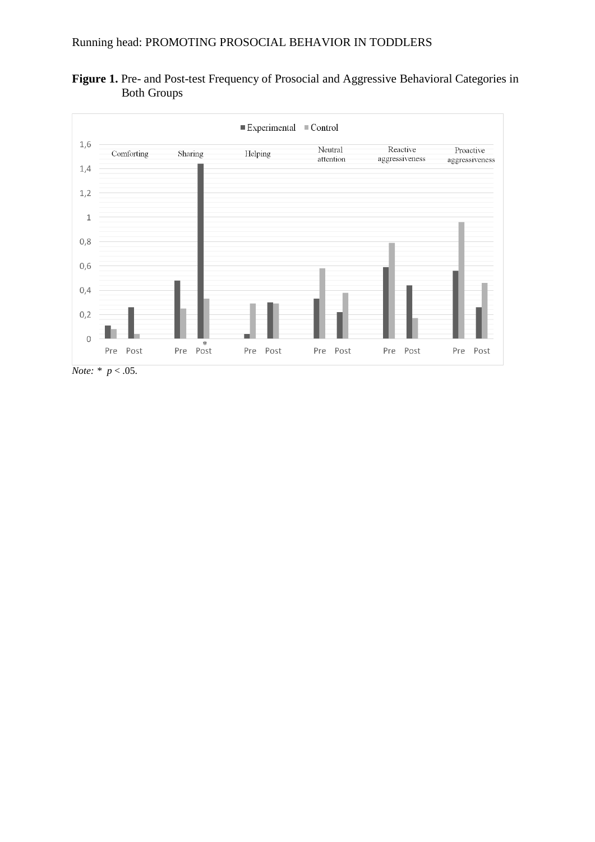



*Note: \* p* < .05.